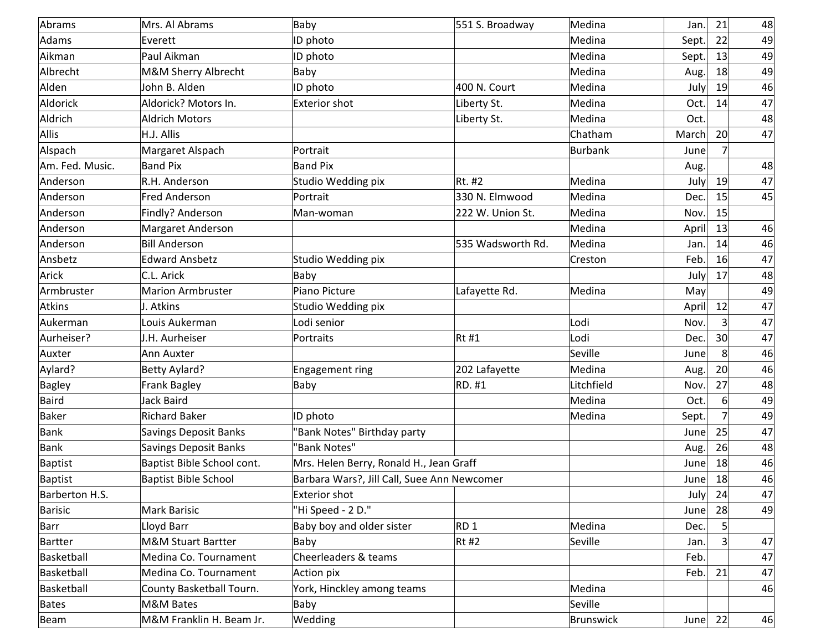| Abrams          | Mrs. Al Abrams                | Baby                                        | 551 S. Broadway   | Medina     | Jan.        | 21              | 48 |
|-----------------|-------------------------------|---------------------------------------------|-------------------|------------|-------------|-----------------|----|
| Adams           | Everett                       | ID photo                                    |                   | Medina     | Sept.       | 22              | 49 |
| Aikman          | Paul Aikman                   | ID photo                                    |                   | Medina     | Sept.       | 13              | 49 |
| Albrecht        | M&M Sherry Albrecht           | Baby                                        |                   | Medina     | Aug.        | 18              | 49 |
| Alden           | John B. Alden                 | ID photo                                    | 400 N. Court      | Medina     | July        | 19              | 46 |
| Aldorick        | Aldorick? Motors In.          | Exterior shot                               | Liberty St.       | Medina     | Oct.        | 14              | 47 |
| Aldrich         | <b>Aldrich Motors</b>         |                                             | Liberty St.       | Medina     | Oct.        |                 | 48 |
| Allis           | H.J. Allis                    |                                             |                   | Chatham    | March       | 20 <sup>1</sup> | 47 |
| Alspach         | Margaret Alspach              | Portrait                                    |                   | Burbank    | June        |                 |    |
| Am. Fed. Music. | <b>Band Pix</b>               | <b>Band Pix</b>                             |                   |            | Aug.        |                 | 48 |
| Anderson        | R.H. Anderson                 | Studio Wedding pix                          | Rt. #2            | Medina     | July        | 19              | 47 |
| Anderson        | <b>Fred Anderson</b>          | Portrait                                    | 330 N. Elmwood    | Medina     | Dec.        | 15              | 45 |
| Anderson        | Findly? Anderson              | Man-woman                                   | 222 W. Union St.  | Medina     | Nov.        | 15              |    |
| Anderson        | Margaret Anderson             |                                             |                   | Medina     | April       | 13              | 46 |
| Anderson        | <b>Bill Anderson</b>          |                                             | 535 Wadsworth Rd. | Medina     | Jan.        | 14              | 46 |
| Ansbetz         | <b>Edward Ansbetz</b>         | Studio Wedding pix                          |                   | Creston    | Feb.        | 16              | 47 |
| Arick           | C.L. Arick                    | Baby                                        |                   |            | July        | 17              | 48 |
| Armbruster      | <b>Marion Armbruster</b>      | Piano Picture                               | Lafayette Rd.     | Medina     | May         |                 | 49 |
| Atkins          | J. Atkins                     | Studio Wedding pix                          |                   |            | April       | 12              | 47 |
| Aukerman        | Louis Aukerman                | Lodi senior                                 |                   | Lodi       | Nov.        | 3               | 47 |
| Aurheiser?      | J.H. Aurheiser                | Portraits                                   | $Rt$ #1           | Lodi       | Dec.        | 30 <sup>2</sup> | 47 |
| Auxter          | Ann Auxter                    |                                             |                   | Seville    | June        | 8               | 46 |
| Aylard?         | <b>Betty Aylard?</b>          | Engagement ring                             | 202 Lafayette     | Medina     | Aug.        | 20              | 46 |
| <b>Bagley</b>   | <b>Frank Bagley</b>           | Baby                                        | RD. #1            | Litchfield | Nov.        | 27              | 48 |
| Baird           | Jack Baird                    |                                             |                   | Medina     | Oct.        | 6               | 49 |
| Baker           | <b>Richard Baker</b>          | ID photo                                    |                   | Medina     | Sept.       |                 | 49 |
| Bank            | <b>Savings Deposit Banks</b>  | "Bank Notes" Birthday party                 |                   |            | June        | 25              | 47 |
| Bank            | <b>Savings Deposit Banks</b>  | "Bank Notes"                                |                   |            | Aug.        | 26              | 48 |
| Baptist         | Baptist Bible School cont.    | Mrs. Helen Berry, Ronald H., Jean Graff     |                   |            | June        | 18              | 46 |
| Baptist         | <b>Baptist Bible School</b>   | Barbara Wars?, Jill Call, Suee Ann Newcomer |                   |            | June        | 18              | 46 |
| Barberton H.S.  |                               | Exterior shot                               |                   |            | July        | 24              | 47 |
| Barisic         | <b>Mark Barisic</b>           | "Hi Speed - 2 D."                           |                   |            | June        | 28              | 49 |
| Barr            | Lloyd Barr                    | Baby boy and older sister                   | RD <sub>1</sub>   | Medina     | Dec.        | 5 <sup>2</sup>  |    |
| Bartter         | <b>M&amp;M Stuart Bartter</b> | Baby                                        | $Rt$ #2           | Seville    | Jan.        | 3               | 47 |
| Basketball      | Medina Co. Tournament         | Cheerleaders & teams                        |                   |            | Feb.        |                 | 47 |
| Basketball      | Medina Co. Tournament         | Action pix                                  |                   |            | Feb.        | 21              | 47 |
| Basketball      | County Basketball Tourn.      | York, Hinckley among teams                  |                   | Medina     |             |                 | 46 |
| Bates           | M&M Bates                     | Baby                                        |                   | Seville    |             |                 |    |
| Beam            | M&M Franklin H. Beam Jr.      | Wedding                                     |                   | Brunswick  | June $ 22 $ |                 | 46 |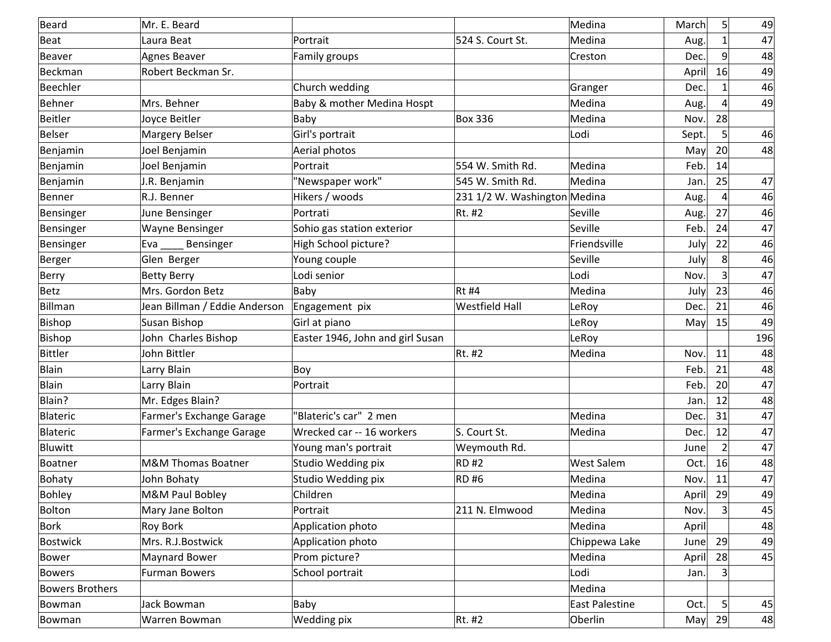| Beard                  | Mr. E. Beard                  |                                  |                              | Medina            | March | 5 <sup>2</sup>  | 49  |
|------------------------|-------------------------------|----------------------------------|------------------------------|-------------------|-------|-----------------|-----|
| Beat                   | Laura Beat                    | Portrait                         | 524 S. Court St.             | Medina            | Aug.  | 1               | 47  |
| Beaver                 | <b>Agnes Beaver</b>           | Family groups                    |                              | Creston           | Dec.  | 9 <sup>°</sup>  | 48  |
| Beckman                | Robert Beckman Sr.            |                                  |                              |                   | April | 16              | 49  |
| Beechler               |                               | Church wedding                   |                              | Granger           | Dec.  | 1               | 46  |
| Behner                 | Mrs. Behner                   | Baby & mother Medina Hospt       |                              | Medina            | Aug.  | 4               | 49  |
| Beitler                | Joyce Beitler                 | Baby                             | <b>Box 336</b>               | Medina            | Nov.  | 28              |     |
| Belser                 | <b>Margery Belser</b>         | Girl's portrait                  |                              | Lodi              | Sept. | 5 <sup>2</sup>  | 46  |
| Benjamin               | Joel Benjamin                 | Aerial photos                    |                              |                   | May   | 20 <sup>°</sup> | 48  |
| Benjamin               | Joel Benjamin                 | Portrait                         | 554 W. Smith Rd.             | Medina            | Feb.  | 14              |     |
| Benjamin               | J.R. Benjamin                 | "Newspaper work"                 | 545 W. Smith Rd.             | Medina            | Jan.  | 25              | 47  |
| Benner                 | R.J. Benner                   | Hikers / woods                   | 231 1/2 W. Washington Medina |                   | Aug.  | $\overline{4}$  | 46  |
| Bensinger              | June Bensinger                | Portrati                         | Rt. #2                       | Seville           | Aug.  | 27              | 46  |
| Bensinger              | <b>Wayne Bensinger</b>        | Sohio gas station exterior       |                              | Seville           | Feb.  | 24              | 47  |
| Bensinger              | Eva<br>Bensinger              | High School picture?             |                              | Friendsville      | July  | 22              | 46  |
| Berger                 | Glen Berger                   | Young couple                     |                              | Seville           | July  | 8 <sup>°</sup>  | 46  |
| Berry                  | <b>Betty Berry</b>            | Lodi senior                      |                              | Lodi              | Nov.  |                 | 47  |
| Betz                   | Mrs. Gordon Betz              | Baby                             | $Rt$ #4                      | Medina            | July  | 23              | 46  |
| Billman                | Jean Billman / Eddie Anderson | Engagement pix                   | <b>Westfield Hall</b>        | LeRoy             | Dec.  | 21              | 46  |
| Bishop                 | Susan Bishop                  | Girl at piano                    |                              | LeRoy             | May   | 15              | 49  |
| Bishop                 | John Charles Bishop           | Easter 1946, John and girl Susan |                              | LeRoy             |       |                 | 196 |
| Bittler                | John Bittler                  |                                  | Rt. #2                       | Medina            | Nov.  | 11              | 48  |
| Blain                  | Larry Blain                   | Boy                              |                              |                   | Feb.  | 21              | 48  |
| Blain                  | Larry Blain                   | Portrait                         |                              |                   | Feb.  | 20 <sup>°</sup> | 47  |
| Blain?                 | Mr. Edges Blain?              |                                  |                              |                   | Jan.  | 12              | 48  |
| Blateric               | Farmer's Exchange Garage      | 'Blateric's car" 2 men           |                              | Medina            | Dec.  | 31              | 47  |
| Blateric               | Farmer's Exchange Garage      | Wrecked car -- 16 workers        | S. Court St.                 | Medina            | Dec.  | 12              | 47  |
| Bluwitt                |                               | Young man's portrait             | Weymouth Rd.                 |                   | June  | $\overline{2}$  | 47  |
| Boatner                | M&M Thomas Boatner            | Studio Wedding pix               | <b>RD#2</b>                  | <b>West Salem</b> | Oct.  | 16              | 48  |
| Bohaty                 | John Bohaty                   | Studio Wedding pix               | <b>RD#6</b>                  | Medina            | Nov.  | 11              | 47  |
| Bohley                 | M&M Paul Bobley               | Children                         |                              | Medina            | April | 29              | 49  |
| Bolton                 | Mary Jane Bolton              | Portrait                         | 211 N. Elmwood               | Medina            | Nov.  | 3 <sup>1</sup>  | 45  |
| Bork                   | <b>Roy Bork</b>               | Application photo                |                              | Medina            | April |                 | 48  |
| <b>Bostwick</b>        | Mrs. R.J.Bostwick             | Application photo                |                              | Chippewa Lake     | June  | 29              | 49  |
| Bower                  | Maynard Bower                 | Prom picture?                    |                              | Medina            | April | 28              | 45  |
| <b>Bowers</b>          | Furman Bowers                 | School portrait                  |                              | Lodi              | Jan.  |                 |     |
| <b>Bowers Brothers</b> |                               |                                  |                              | Medina            |       |                 |     |
| Bowman                 | Jack Bowman                   | Baby                             |                              | East Palestine    | Oct.  | $\vert 5 \vert$ | 45  |
| Bowman                 | Warren Bowman                 | <b>Wedding pix</b>               | Rt. #2                       | Oberlin           | May   | 29              | 48  |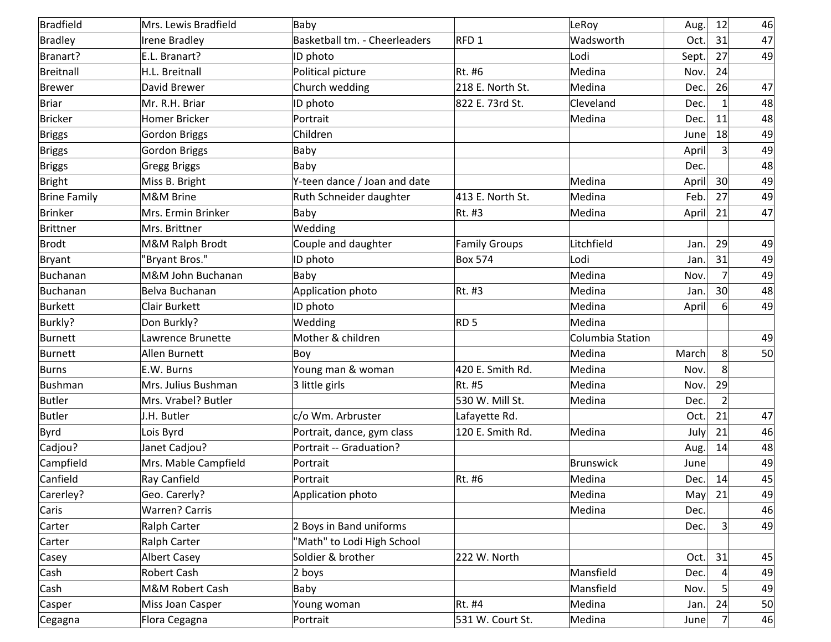| Bradfield           | Mrs. Lewis Bradfield  | Baby                          |                      | LeRoy            | Aug.  | 12              | 46 |
|---------------------|-----------------------|-------------------------------|----------------------|------------------|-------|-----------------|----|
| Bradley             | Irene Bradley         | Basketball tm. - Cheerleaders | RFD1                 | Wadsworth        | Oct.  | 31              | 47 |
| Branart?            | E.L. Branart?         | ID photo                      |                      | Lodi             | Sept. | 27              | 49 |
| Breitnall           | H.L. Breitnall        | Political picture             | Rt. #6               | Medina           | Nov.  | 24              |    |
| Brewer              | David Brewer          | Church wedding                | 218 E. North St.     | Medina           | Dec.  | 26              | 47 |
| Briar               | Mr. R.H. Briar        | ID photo                      | 822 E. 73rd St.      | Cleveland        | Dec.  | $\mathbf{1}$    | 48 |
| Bricker             | Homer Bricker         | Portrait                      |                      | Medina           | Dec.  | 11              | 48 |
| <b>Briggs</b>       | <b>Gordon Briggs</b>  | Children                      |                      |                  | June  | 18              | 49 |
| <b>Briggs</b>       | <b>Gordon Briggs</b>  | Baby                          |                      |                  | April | 3 <sup>1</sup>  | 49 |
| <b>Briggs</b>       | <b>Gregg Briggs</b>   | Baby                          |                      |                  | Dec.  |                 | 48 |
| Bright              | Miss B. Bright        | Y-teen dance / Joan and date  |                      | Medina           | April | 30 <sup>l</sup> | 49 |
| <b>Brine Family</b> | M&M Brine             | Ruth Schneider daughter       | 413 E. North St.     | Medina           | Feb.  | 27              | 49 |
| Brinker             | Mrs. Ermin Brinker    | Baby                          | Rt. #3               | Medina           | April | 21              | 47 |
| Brittner            | Mrs. Brittner         | Wedding                       |                      |                  |       |                 |    |
| Brodt               | M&M Ralph Brodt       | Couple and daughter           | <b>Family Groups</b> | Litchfield       | Jan.  | 29              | 49 |
| Bryant              | "Bryant Bros."        | ID photo                      | <b>Box 574</b>       | Lodi             | Jan.  | 31              | 49 |
| Buchanan            | M&M John Buchanan     | Baby                          |                      | Medina           | Nov.  | $\overline{7}$  | 49 |
| Buchanan            | Belva Buchanan        | Application photo             | Rt. #3               | Medina           | Jan.  | 30 <sup>°</sup> | 48 |
| Burkett             | <b>Clair Burkett</b>  | ID photo                      |                      | Medina           | April | 6 <sup>1</sup>  | 49 |
| Burkly?             | Don Burkly?           | Wedding                       | RD <sub>5</sub>      | Medina           |       |                 |    |
| Burnett             | Lawrence Brunette     | Mother & children             |                      | Columbia Station |       |                 | 49 |
| Burnett             | Allen Burnett         | Boy                           |                      | Medina           | March | 8               | 50 |
| Burns               | E.W. Burns            | Young man & woman             | 420 E. Smith Rd.     | Medina           | Nov.  | 8 <sup>1</sup>  |    |
| Bushman             | Mrs. Julius Bushman   | 3 little girls                | Rt. #5               | Medina           | Nov.  | 29              |    |
| Butler              | Mrs. Vrabel? Butler   |                               | 530 W. Mill St.      | Medina           | Dec.  | $\overline{2}$  |    |
| Butler              | J.H. Butler           | c/o Wm. Arbruster             | Lafayette Rd.        |                  | Oct.  | 21              | 47 |
| Byrd                | Lois Byrd             | Portrait, dance, gym class    | 120 E. Smith Rd.     | Medina           | July  | 21              | 46 |
| Cadjou?             | Janet Cadjou?         | Portrait -- Graduation?       |                      |                  | Aug.  | 14              | 48 |
| Campfield           | Mrs. Mable Campfield  | Portrait                      |                      | Brunswick        | June  |                 | 49 |
| Canfield            | Ray Canfield          | Portrait                      | Rt. #6               | Medina           | Dec.  | 14              | 45 |
| Carerley?           | Geo. Carerly?         | Application photo             |                      | Medina           | May   | 21              | 49 |
| Caris               | <b>Warren? Carris</b> |                               |                      | Medina           | Dec.  |                 | 46 |
| Carter              | <b>Ralph Carter</b>   | 2 Boys in Band uniforms       |                      |                  | Dec.  | 3               | 49 |
| Carter              | Ralph Carter          | "Math" to Lodi High School    |                      |                  |       |                 |    |
| Casey               | <b>Albert Casey</b>   | Soldier & brother             | 222 W. North         |                  | Oct.  | 31              | 45 |
| Cash                | Robert Cash           | $2$ boys                      |                      | Mansfield        | Dec.  | 4               | 49 |
| Cash                | M&M Robert Cash       | Baby                          |                      | Mansfield        | Nov.  |                 | 49 |
| Casper              | Miss Joan Casper      | Young woman                   | Rt. #4               | Medina           | Jan.  | 24              | 50 |
| Cegagna             | Flora Cegagna         | Portrait                      | 531 W. Court St.     | Medina           | June  |                 | 46 |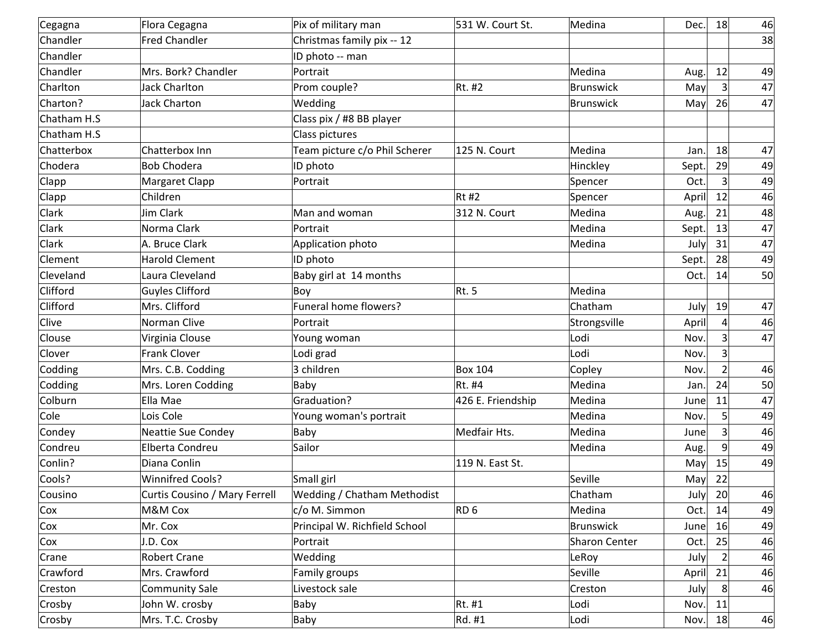| Cegagna     | Flora Cegagna                 | Pix of military man                | 531 W. Court St.  | Medina           | Dec.  | 18                     | 46 |
|-------------|-------------------------------|------------------------------------|-------------------|------------------|-------|------------------------|----|
| Chandler    | <b>Fred Chandler</b>          | Christmas family pix -- 12         |                   |                  |       |                        | 38 |
| Chandler    |                               | ID photo -- man                    |                   |                  |       |                        |    |
| Chandler    | Mrs. Bork? Chandler           | Portrait                           |                   | Medina           | Aug.  | 12                     | 49 |
| Charlton    | <b>Jack Charlton</b>          | Prom couple?                       | Rt. #2            | <b>Brunswick</b> | May   | $\overline{3}$         | 47 |
| Charton?    | <b>Jack Charton</b>           | Wedding                            |                   | Brunswick        | May   | 26                     | 47 |
| Chatham H.S |                               | Class pix / #8 BB player           |                   |                  |       |                        |    |
| Chatham H.S |                               | Class pictures                     |                   |                  |       |                        |    |
| Chatterbox  | Chatterbox Inn                | Team picture c/o Phil Scherer      | 125 N. Court      | Medina           | Jan.  | 18                     | 47 |
| Chodera     | <b>Bob Chodera</b>            | ID photo                           |                   | Hinckley         | Sept. | 29                     | 49 |
| Clapp       | Margaret Clapp                | Portrait                           |                   | Spencer          | Oct.  | 3                      | 49 |
| Clapp       | Children                      |                                    | $Rt$ #2           | Spencer          | April | 12                     | 46 |
| Clark       | Jim Clark                     | Man and woman                      | 312 N. Court      | Medina           | Aug.  | 21                     | 48 |
| Clark       | Norma Clark                   | Portrait                           |                   | Medina           | Sept. | 13                     | 47 |
| Clark       | A. Bruce Clark                | Application photo                  |                   | Medina           | July  | 31                     | 47 |
| Clement     | <b>Harold Clement</b>         | ID photo                           |                   |                  | Sept. | 28                     | 49 |
| Cleveland   | Laura Cleveland               | Baby girl at 14 months             |                   |                  | Oct.  | 14                     | 50 |
| Clifford    | <b>Guyles Clifford</b>        | Boy                                | Rt.5              | Medina           |       |                        |    |
| Clifford    | Mrs. Clifford                 | Funeral home flowers?              |                   | Chatham          | July  | 19                     | 47 |
| Clive       | Norman Clive                  | Portrait                           |                   | Strongsville     | April | $\boldsymbol{\Lambda}$ | 46 |
| Clouse      | Virginia Clouse               | Young woman                        |                   | Lodi             | Nov.  | 3                      | 47 |
| Clover      | <b>Frank Clover</b>           | Lodi grad                          |                   | Lodi             | Nov.  | $\overline{3}$         |    |
| Codding     | Mrs. C.B. Codding             | 3 children                         | <b>Box 104</b>    | Copley           | Nov.  | $\overline{2}$         | 46 |
| Codding     | Mrs. Loren Codding            | Baby                               | Rt. #4            | Medina           | Jan.  | 24                     | 50 |
| Colburn     | Ella Mae                      | <b>Graduation?</b>                 | 426 E. Friendship | Medina           | June  | 11                     | 47 |
| Cole        | Lois Cole                     | Young woman's portrait             |                   | Medina           | Nov.  | 5                      | 49 |
| Condey      | Neattie Sue Condey            | Baby                               | Medfair Hts.      | Medina           | June  | 3                      | 46 |
| Condreu     | Elberta Condreu               | Sailor                             |                   | Medina           | Aug.  | 9                      | 49 |
| Conlin?     | Diana Conlin                  |                                    | 119 N. East St.   |                  | May   | 15                     | 49 |
| Cools?      | <b>Winnifred Cools?</b>       | Small girl                         |                   | Seville          | May   | 22                     |    |
| Cousino     | Curtis Cousino / Mary Ferrell | <b>Wedding / Chatham Methodist</b> |                   | Chatham          | July  | 20 <sub>l</sub>        | 46 |
| Cox         | M&M Cox                       | c/o M. Simmon                      | RD <sub>6</sub>   | Medina           | Oct.  | 14                     | 49 |
| Cox         | Mr. Cox                       | Principal W. Richfield School      |                   | Brunswick        | June  | 16                     | 49 |
| Cox         | J.D. Cox                      | Portrait                           |                   | Sharon Center    | Oct.  | 25                     | 46 |
| Crane       | <b>Robert Crane</b>           | Wedding                            |                   | LeRoy            | July  | $\overline{2}$         | 46 |
| Crawford    | Mrs. Crawford                 | Family groups                      |                   | Seville          | April | 21                     | 46 |
| Creston     | <b>Community Sale</b>         | Livestock sale                     |                   | Creston          | July  | 8                      | 46 |
| Crosby      | John W. crosby                | Baby                               | Rt. #1            | Lodi             | Nov.  | 11                     |    |
| Crosby      | Mrs. T.C. Crosby              | Baby                               | Rd. #1            | Lodi             | Nov.  | 18                     | 46 |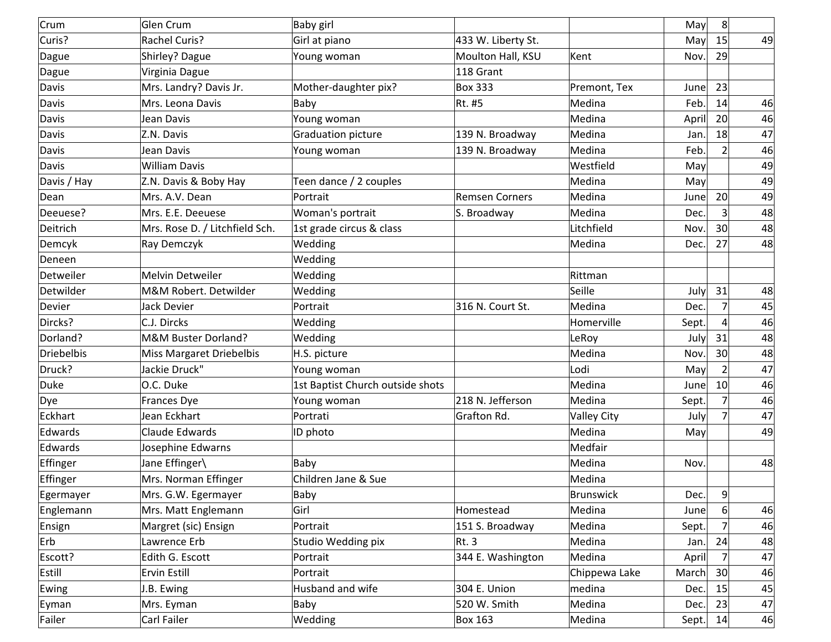| Crum            | Glen Crum                      | Baby girl                        |                       |                    | May   | 8 <sup>2</sup>  |    |
|-----------------|--------------------------------|----------------------------------|-----------------------|--------------------|-------|-----------------|----|
| Curis?          | <b>Rachel Curis?</b>           | Girl at piano                    | 433 W. Liberty St.    |                    | May   | 15              | 49 |
| Dague           | Shirley? Dague                 | Young woman                      | Moulton Hall, KSU     | Kent               | Nov.  | 29              |    |
| Dague           | Virginia Dague                 |                                  | 118 Grant             |                    |       |                 |    |
| Davis           | Mrs. Landry? Davis Jr.         | Mother-daughter pix?             | <b>Box 333</b>        | Premont, Tex       | June  | 23              |    |
| Davis           | Mrs. Leona Davis               | Baby                             | Rt. #5                | Medina             | Feb.  | 14              | 46 |
| Davis           | Jean Davis                     | Young woman                      |                       | Medina             | April | 20 <sup>°</sup> | 46 |
| Davis           | Z.N. Davis                     | Graduation picture               | 139 N. Broadway       | Medina             | Jan.  | 18              | 47 |
| Davis           | Jean Davis                     | Young woman                      | 139 N. Broadway       | Medina             | Feb.  | $\overline{2}$  | 46 |
| Davis           | <b>William Davis</b>           |                                  |                       | Westfield          | May   |                 | 49 |
| Davis / Hay     | Z.N. Davis & Boby Hay          | Teen dance / 2 couples           |                       | Medina             | May   |                 | 49 |
| Dean            | Mrs. A.V. Dean                 | Portrait                         | <b>Remsen Corners</b> | Medina             | June  | 20 <sup>1</sup> | 49 |
| Deeuese?        | Mrs. E.E. Deeuese              | Woman's portrait                 | S. Broadway           | Medina             | Dec.  |                 | 48 |
| Deitrich        | Mrs. Rose D. / Litchfield Sch. | 1st grade circus & class         |                       | Litchfield         | Nov.  | 30 <sup>2</sup> | 48 |
| Demcyk          | Ray Demczyk                    | Wedding                          |                       | Medina             | Dec.  | 27              | 48 |
| Deneen          |                                | Wedding                          |                       |                    |       |                 |    |
| Detweiler       | Melvin Detweiler               | Wedding                          |                       | Rittman            |       |                 |    |
| Detwilder       | M&M Robert. Detwilder          | Wedding                          |                       | Seille             | July  | 31              | 48 |
| Devier          | Jack Devier                    | Portrait                         | 316 N. Court St.      | Medina             | Dec.  | $\overline{7}$  | 45 |
| Dircks?         | C.J. Dircks                    | Wedding                          |                       | Homerville         | Sept. | $\overline{a}$  | 46 |
| Dorland?        | M&M Buster Dorland?            | Wedding                          |                       | LeRoy              | July  | 31              | 48 |
| Driebelbis      | Miss Margaret Driebelbis       | H.S. picture                     |                       | Medina             | Nov.  | 30 <sup>2</sup> | 48 |
| Druck?          | Jackie Druck"                  | Young woman                      |                       | Lodi               | May   | 2               | 47 |
| Duke            | O.C. Duke                      | 1st Baptist Church outside shots |                       | Medina             | June  | 10 <sup>1</sup> | 46 |
| Dye             | Frances Dye                    | Young woman                      | 218 N. Jefferson      | Medina             | Sept. |                 | 46 |
| Eckhart         | Jean Eckhart                   | Portrati                         | Grafton Rd.           | <b>Valley City</b> | July  |                 | 47 |
| Edwards         | <b>Claude Edwards</b>          | ID photo                         |                       | Medina             | May   |                 | 49 |
| Edwards         | Josephine Edwarns              |                                  |                       | Medfair            |       |                 |    |
| <b>Effinger</b> | Jane Effinger\                 | Baby                             |                       | Medina             | Nov.  |                 | 48 |
| Effinger        | Mrs. Norman Effinger           | Children Jane & Sue              |                       | Medina             |       |                 |    |
| Egermayer       | Mrs. G.W. Egermayer            | Baby                             |                       | Brunswick          | Dec.  | 9               |    |
| Englemann       | Mrs. Matt Englemann            | Girl                             | Homestead             | Medina             | June  | 6               | 46 |
| Ensign          | Margret (sic) Ensign           | Portrait                         | 151 S. Broadway       | Medina             | Sept. |                 | 46 |
| Erb             | Lawrence Erb                   | Studio Wedding pix               | <b>Rt. 3</b>          | Medina             | Jan.  | 24              | 48 |
| Escott?         | Edith G. Escott                | Portrait                         | 344 E. Washington     | Medina             | April | $\overline{7}$  | 47 |
| Estill          | Ervin Estill                   | Portrait                         |                       | Chippewa Lake      | March | 30 <sup>2</sup> | 46 |
| Ewing           | J.B. Ewing                     | Husband and wife                 | 304 E. Union          | medina             | Dec.  | 15              | 45 |
| Eyman           | Mrs. Eyman                     | Baby                             | 520 W. Smith          | Medina             | Dec.  | 23              | 47 |
| Failer          | Carl Failer                    | Wedding                          | <b>Box 163</b>        | Medina             | Sept. | 14              | 46 |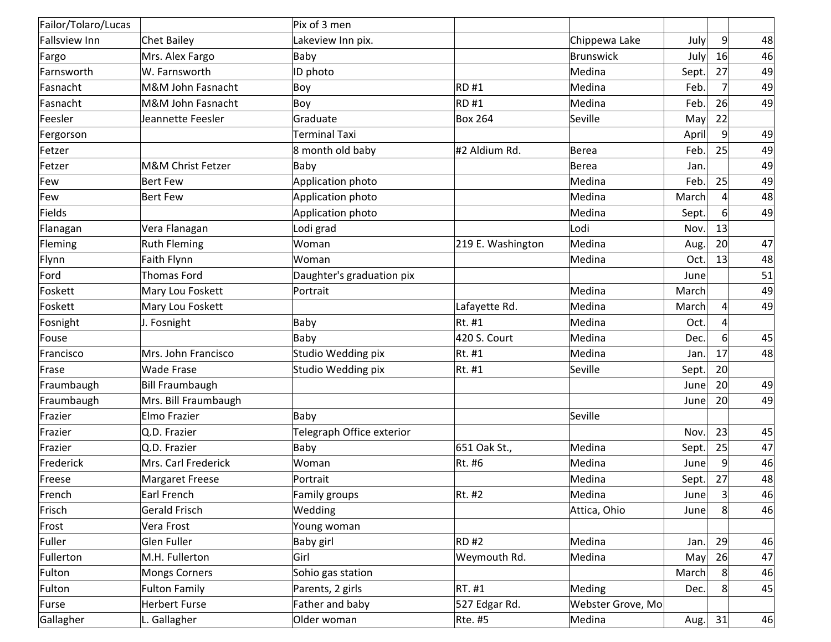| Failor/Tolaro/Lucas |                        | Pix of 3 men              |                   |                   |       |                 |    |
|---------------------|------------------------|---------------------------|-------------------|-------------------|-------|-----------------|----|
| Fallsview Inn       | <b>Chet Bailey</b>     | Lakeview Inn pix.         |                   | Chippewa Lake     | July  | $\overline{9}$  | 48 |
| Fargo               | Mrs. Alex Fargo        | Baby                      |                   | Brunswick         | July  | 16              | 46 |
| Farnsworth          | W. Farnsworth          | ID photo                  |                   | Medina            | Sept. | 27              | 49 |
| Fasnacht            | M&M John Fasnacht      | Boy                       | RD#1              | Medina            | Feb.  | 7               | 49 |
| Fasnacht            | M&M John Fasnacht      | Boy                       | RD#1              | Medina            | Feb.  | 26              | 49 |
| Feesler             | Jeannette Feesler      | Graduate                  | <b>Box 264</b>    | Seville           | May   | 22              |    |
| Fergorson           |                        | <b>Terminal Taxi</b>      |                   |                   | April | $\overline{9}$  | 49 |
| Fetzer              |                        | 8 month old baby          | #2 Aldium Rd.     | Berea             | Feb.  | 25              | 49 |
| Fetzer              | M&M Christ Fetzer      | Baby                      |                   | Berea             | Jan.  |                 | 49 |
| Few                 | <b>Bert Few</b>        | Application photo         |                   | Medina            | Feb.  | 25              | 49 |
| Few                 | <b>Bert Few</b>        | Application photo         |                   | Medina            | March | $\Delta$        | 48 |
| Fields              |                        | Application photo         |                   | Medina            | Sept. | $\overline{6}$  | 49 |
| Flanagan            | Vera Flanagan          | Lodi grad                 |                   | Lodi              | Nov.  | 13              |    |
| Fleming             | <b>Ruth Fleming</b>    | Woman                     | 219 E. Washington | Medina            | Aug.  | 20 <sup>2</sup> | 47 |
| Flynn               | Faith Flynn            | Woman                     |                   | Medina            | Oct.  | 13              | 48 |
| Ford                | Thomas Ford            | Daughter's graduation pix |                   |                   | June  |                 | 51 |
| Foskett             | Mary Lou Foskett       | Portrait                  |                   | Medina            | March |                 | 49 |
| Foskett             | Mary Lou Foskett       |                           | Lafayette Rd.     | Medina            | March | 4               | 49 |
| Fosnight            | J. Fosnight            | Baby                      | Rt. #1            | Medina            | Oct.  | $\vert$         |    |
| Fouse               |                        | Baby                      | 420 S. Court      | Medina            | Dec.  | 6               | 45 |
| Francisco           | Mrs. John Francisco    | Studio Wedding pix        | Rt. #1            | Medina            | Jan.  | 17              | 48 |
| Frase               | <b>Wade Frase</b>      | Studio Wedding pix        | Rt. #1            | Seville           | Sept. | 20 <sup>°</sup> |    |
| Fraumbaugh          | <b>Bill Fraumbaugh</b> |                           |                   |                   | June  | 20 <sup>°</sup> | 49 |
| Fraumbaugh          | Mrs. Bill Fraumbaugh   |                           |                   |                   | June  | 20              | 49 |
| Frazier             | Elmo Frazier           | Baby                      |                   | Seville           |       |                 |    |
| Frazier             | Q.D. Frazier           | Telegraph Office exterior |                   |                   | Nov.  | 23              | 45 |
| Frazier             | Q.D. Frazier           | Baby                      | 651 Oak St.,      | Medina            | Sept. | 25              | 47 |
| Frederick           | Mrs. Carl Frederick    | Woman                     | Rt. #6            | Medina            | June  | 9               | 46 |
| Freese              | <b>Margaret Freese</b> | Portrait                  |                   | Medina            | Sept. | 27              | 48 |
| French              | Earl French            | Family groups             | Rt. #2            | Medina            | June  | 3 <sup>1</sup>  | 46 |
| Frisch              | <b>Gerald Frisch</b>   | Wedding                   |                   | Attica, Ohio      | June  | 8               | 46 |
| Frost               | Vera Frost             | Young woman               |                   |                   |       |                 |    |
| Fuller              | Glen Fuller            | <b>Baby girl</b>          | $RD$ #2           | Medina            | Jan.  | 29              | 46 |
| Fullerton           | M.H. Fullerton         | Girl                      | Weymouth Rd.      | Medina            | May   | 26              | 47 |
| Fulton              | <b>Mongs Corners</b>   | Sohio gas station         |                   |                   | March | 8               | 46 |
| Fulton              | <b>Fulton Family</b>   | Parents, 2 girls          | $RT.$ #1          | Meding            | Dec.  | 8               | 45 |
| Furse               | <b>Herbert Furse</b>   | Father and baby           | 527 Edgar Rd.     | Webster Grove, Mo |       |                 |    |
| Gallagher           | L. Gallagher           | Older woman               | <b>Rte. #5</b>    | Medina            | Aug.  | 31              | 46 |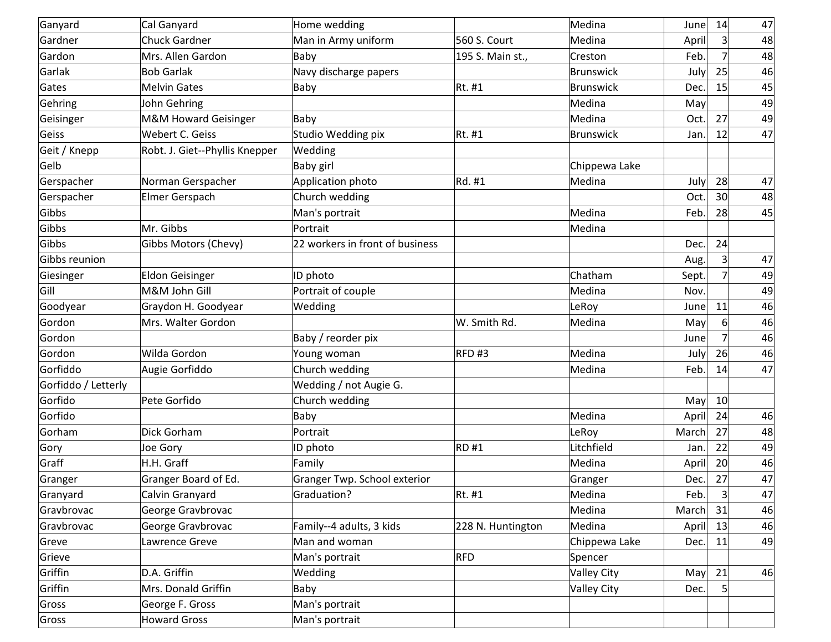| Ganyard             | Cal Ganyard                    | Home wedding                    |                   | Medina             | June  | 14              | 47 |
|---------------------|--------------------------------|---------------------------------|-------------------|--------------------|-------|-----------------|----|
| Gardner             | <b>Chuck Gardner</b>           | Man in Army uniform             | 560 S. Court      | Medina             | April | 3               | 48 |
| Gardon              | Mrs. Allen Gardon              | Baby                            | 195 S. Main st.,  | Creston            | Feb.  | 7               | 48 |
| Garlak              | <b>Bob Garlak</b>              | Navy discharge papers           |                   | Brunswick          | July  | 25              | 46 |
| Gates               | <b>Melvin Gates</b>            | Baby                            | Rt. #1            | Brunswick          | Dec.  | 15              | 45 |
| Gehring             | John Gehring                   |                                 |                   | Medina             | May   |                 | 49 |
| Geisinger           | M&M Howard Geisinger           | Baby                            |                   | Medina             | Oct.  | 27              | 49 |
| Geiss               | Webert C. Geiss                | Studio Wedding pix              | Rt. #1            | Brunswick          | Jan.  | 12              | 47 |
| Geit / Knepp        | Robt. J. Giet--Phyllis Knepper | Wedding                         |                   |                    |       |                 |    |
| Gelb                |                                | Baby girl                       |                   | Chippewa Lake      |       |                 |    |
| Gerspacher          | Norman Gerspacher              | Application photo               | Rd. #1            | Medina             | July  | 28              | 47 |
| Gerspacher          | Elmer Gerspach                 | Church wedding                  |                   |                    | Oct.  | 30              | 48 |
| Gibbs               |                                | Man's portrait                  |                   | Medina             | Feb.  | 28              | 45 |
| Gibbs               | Mr. Gibbs                      | Portrait                        |                   | Medina             |       |                 |    |
| Gibbs               | Gibbs Motors (Chevy)           | 22 workers in front of business |                   |                    | Dec.  | 24              |    |
| Gibbs reunion       |                                |                                 |                   |                    | Aug.  | 3 <sup>2</sup>  | 47 |
| Giesinger           | <b>Eldon Geisinger</b>         | ID photo                        |                   | Chatham            | Sept. | 7               | 49 |
| Gill                | M&M John Gill                  | Portrait of couple              |                   | Medina             | Nov.  |                 | 49 |
| Goodyear            | Graydon H. Goodyear            | Wedding                         |                   | LeRoy              | June  | 11              | 46 |
| Gordon              | Mrs. Walter Gordon             |                                 | W. Smith Rd.      | Medina             | May   | 6               | 46 |
| Gordon              |                                | Baby / reorder pix              |                   |                    | June  | 7               | 46 |
| Gordon              | Wilda Gordon                   | Young woman                     | <sub>RFD</sub> #3 | Medina             | July  | 26              | 46 |
| Gorfiddo            | Augie Gorfiddo                 | Church wedding                  |                   | Medina             | Feb.  | 14              | 47 |
| Gorfiddo / Letterly |                                | Wedding / not Augie G.          |                   |                    |       |                 |    |
| Gorfido             | Pete Gorfido                   | Church wedding                  |                   |                    | May   | 10 <sup>1</sup> |    |
| Gorfido             |                                | Baby                            |                   | Medina             | April | 24              | 46 |
| Gorham              | Dick Gorham                    | Portrait                        |                   | LeRoy              | March | 27              | 48 |
| Gory                | Joe Gory                       | ID photo                        | RD#1              | Litchfield         | Jan.  | 22              | 49 |
| Graff               | H.H. Graff                     | Family                          |                   | Medina             | April | 20              | 46 |
| Granger             | Granger Board of Ed.           | Granger Twp. School exterior    |                   | Granger            | Dec.  | 27              | 47 |
| Granyard            | Calvin Granyard                | Graduation?                     | Rt. #1            | Medina             | Feb.  | 3 <sup>2</sup>  | 47 |
| Gravbrovac          | George Gravbrovac              |                                 |                   | Medina             | March | 31              | 46 |
| Gravbrovac          | George Gravbrovac              | Family--4 adults, 3 kids        | 228 N. Huntington | Medina             | April | 13              | 46 |
| Greve               | Lawrence Greve                 | Man and woman                   |                   | Chippewa Lake      | Dec.  | 11              | 49 |
| Grieve              |                                | Man's portrait                  | RFD               | Spencer            |       |                 |    |
| Griffin             | D.A. Griffin                   | Wedding                         |                   | <b>Valley City</b> | May   | 21              | 46 |
| Griffin             | Mrs. Donald Griffin            | Baby                            |                   | Valley City        | Dec.  | 5 <sup>2</sup>  |    |
| Gross               | George F. Gross                | Man's portrait                  |                   |                    |       |                 |    |
| Gross               | <b>Howard Gross</b>            | Man's portrait                  |                   |                    |       |                 |    |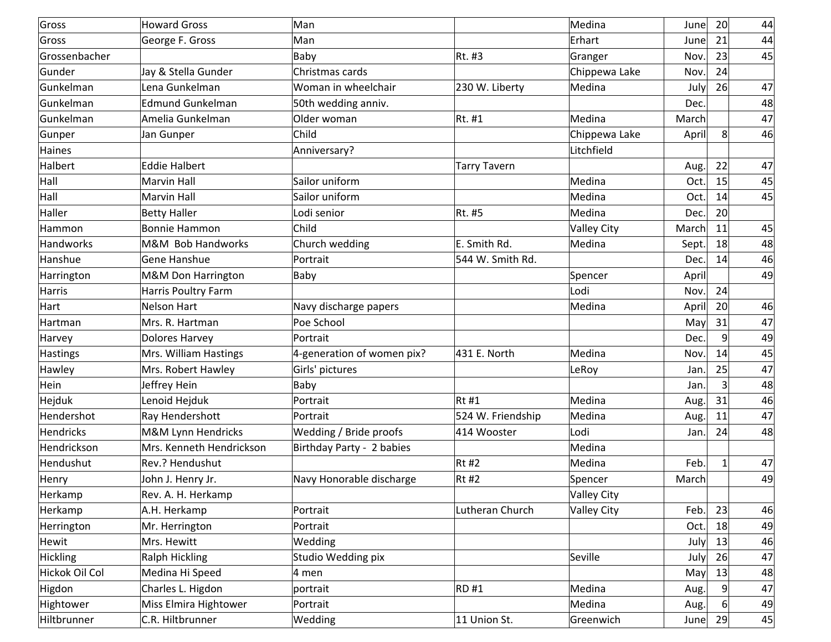| Gross            | <b>Howard Gross</b>      | Man                           |                     | Medina             | June  | 20 <sup>°</sup> | 44 |
|------------------|--------------------------|-------------------------------|---------------------|--------------------|-------|-----------------|----|
| Gross            | George F. Gross          | Man                           |                     | Erhart             | June  | 21              | 44 |
| Grossenbacher    |                          | Baby                          | Rt. #3              | Granger            | Nov.  | 23              | 45 |
| Gunder           | Jay & Stella Gunder      | Christmas cards               |                     | Chippewa Lake      | Nov.  | 24              |    |
| Gunkelman        | Lena Gunkelman           | Woman in wheelchair           | 230 W. Liberty      | Medina             | July  | 26              | 47 |
| Gunkelman        | <b>Edmund Gunkelman</b>  | 50th wedding anniv.           |                     |                    | Dec.  |                 | 48 |
| Gunkelman        | Amelia Gunkelman         | Older woman                   | Rt. #1              | Medina             | March |                 | 47 |
| Gunper           | Jan Gunper               | Child                         |                     | Chippewa Lake      | April | 8               | 46 |
| Haines           |                          | Anniversary?                  |                     | Litchfield         |       |                 |    |
| Halbert          | <b>Eddie Halbert</b>     |                               | <b>Tarry Tavern</b> |                    | Aug.  | 22              | 47 |
| Hall             | <b>Marvin Hall</b>       | Sailor uniform                |                     | Medina             | Oct.  | 15              | 45 |
| Hall             | <b>Marvin Hall</b>       | Sailor uniform                |                     | Medina             | Oct.  | 14              | 45 |
| Haller           | <b>Betty Haller</b>      | Lodi senior                   | Rt. #5              | Medina             | Dec.  | 20 <sup>°</sup> |    |
| Hammon           | Bonnie Hammon            | Child                         |                     | <b>Valley City</b> | March | 11              | 45 |
| <b>Handworks</b> | M&M Bob Handworks        | Church wedding                | E. Smith Rd.        | Medina             | Sept. | 18              | 48 |
| Hanshue          | Gene Hanshue             | Portrait                      | 544 W. Smith Rd.    |                    | Dec.  | 14              | 46 |
| Harrington       | M&M Don Harrington       | Baby                          |                     | Spencer            | April |                 | 49 |
| Harris           | Harris Poultry Farm      |                               |                     | Lodi               | Nov.  | 24              |    |
| Hart             | <b>Nelson Hart</b>       | Navy discharge papers         |                     | Medina             | April | 20              | 46 |
| Hartman          | Mrs. R. Hartman          | Poe School                    |                     |                    | May   | 31              | 47 |
| Harvey           | <b>Dolores Harvey</b>    | Portrait                      |                     |                    | Dec.  | $\overline{9}$  | 49 |
| Hastings         | Mrs. William Hastings    | $4$ -generation of women pix? | 431 E. North        | Medina             | Nov.  | 14              | 45 |
| Hawley           | Mrs. Robert Hawley       | Girls' pictures               |                     | LeRoy              | Jan.  | 25              | 47 |
| Hein             | Jeffrey Hein             | Baby                          |                     |                    | Jan.  | $\overline{3}$  | 48 |
| Hejduk           | Lenoid Hejduk            | Portrait                      | Rt#1                | Medina             | Aug.  | 31              | 46 |
| Hendershot       | Ray Hendershott          | Portrait                      | 524 W. Friendship   | Medina             | Aug.  | 11              | 47 |
| Hendricks        | M&M Lynn Hendricks       | <b>Wedding / Bride proofs</b> | 414 Wooster         | Lodi               | Jan.  | 24              | 48 |
| Hendrickson      | Mrs. Kenneth Hendrickson | Birthday Party - 2 babies     |                     | Medina             |       |                 |    |
| Hendushut        | Rev.? Hendushut          |                               | Rt#2                | Medina             | Feb.  | 1               | 47 |
| Henry            | John J. Henry Jr.        | Navy Honorable discharge      | <b>Rt #2</b>        | Spencer            | March |                 | 49 |
| Herkamp          | Rev. A. H. Herkamp       |                               |                     | <b>Valley City</b> |       |                 |    |
| Herkamp          | A.H. Herkamp             | Portrait                      | Lutheran Church     | <b>Valley City</b> | Feb.  | 23              | 46 |
| Herrington       | Mr. Herrington           | Portrait                      |                     |                    | Oct.  | 18              | 49 |
| Hewit            | Mrs. Hewitt              | Wedding                       |                     |                    | July  | 13              | 46 |
| Hickling         | <b>Ralph Hickling</b>    | Studio Wedding pix            |                     | Seville            | July  | 26              | 47 |
| Hickok Oil Col   | Medina Hi Speed          | $ 4 \text{ men} $             |                     |                    | May   | 13              | 48 |
| Higdon           | Charles L. Higdon        | portrait                      | RD #1               | Medina             | Aug.  |                 | 47 |
| Hightower        | Miss Elmira Hightower    | Portrait                      |                     | Medina             | Aug.  |                 | 49 |
| Hiltbrunner      | C.R. Hiltbrunner         | Wedding                       | 11 Union St.        | Greenwich          | June  | 29              | 45 |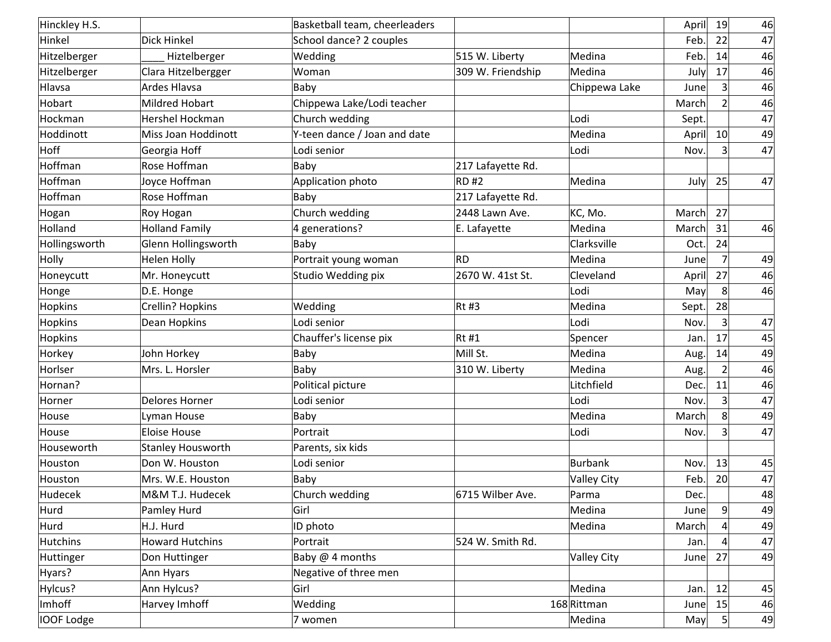| Hinckley H.S.     |                          | Basketball team, cheerleaders |                   |                    | April | 19             | 46 |
|-------------------|--------------------------|-------------------------------|-------------------|--------------------|-------|----------------|----|
| Hinkel            | <b>Dick Hinkel</b>       | School dance? 2 couples       |                   |                    | Feb.  | 22             | 47 |
| Hitzelberger      | Hiztelberger             | Wedding                       | 515 W. Liberty    | Medina             | Feb.  | 14             | 46 |
| Hitzelberger      | Clara Hitzelbergger      | Woman                         | 309 W. Friendship | Medina             | July  | 17             | 46 |
| Hlavsa            | <b>Ardes Hlavsa</b>      | Baby                          |                   | Chippewa Lake      | June  | 3              | 46 |
| Hobart            | <b>Mildred Hobart</b>    | Chippewa Lake/Lodi teacher    |                   |                    | March | $\overline{2}$ | 46 |
| Hockman           | Hershel Hockman          | Church wedding                |                   | Lodi               | Sept. |                | 47 |
| Hoddinott         | Miss Joan Hoddinott      | Y-teen dance / Joan and date  |                   | Medina             | April | 10             | 49 |
| Hoff              | Georgia Hoff             | Lodi senior                   |                   | Lodi               | Nov.  | 3              | 47 |
| Hoffman           | Rose Hoffman             | Baby                          | 217 Lafayette Rd. |                    |       |                |    |
| Hoffman           | Joyce Hoffman            | Application photo             | RD#2              | Medina             | July  | 25             | 47 |
| Hoffman           | Rose Hoffman             | Baby                          | 217 Lafayette Rd. |                    |       |                |    |
| Hogan             | Roy Hogan                | Church wedding                | 2448 Lawn Ave.    | KC, Mo.            | March | 27             |    |
| Holland           | <b>Holland Family</b>    | $4$ generations?              | E. Lafayette      | Medina             | March | 31             | 46 |
| Hollingsworth     | Glenn Hollingsworth      | Baby                          |                   | Clarksville        | Oct.  | 24             |    |
| Holly             | <b>Helen Holly</b>       | Portrait young woman          | RD                | Medina             | June  | $\overline{7}$ | 49 |
| Honeycutt         | Mr. Honeycutt            | Studio Wedding pix            | 2670 W. 41st St.  | Cleveland          | April | 27             | 46 |
| Honge             | D.E. Honge               |                               |                   | Lodi               | May   | 8              | 46 |
| <b>Hopkins</b>    | Crellin? Hopkins         | Wedding                       | Rt#3              | Medina             | Sept. | 28             |    |
| Hopkins           | Dean Hopkins             | Lodi senior                   |                   | Lodi               | Nov.  | 3              | 47 |
| Hopkins           |                          | Chauffer's license pix        | $Rt$ #1           | Spencer            | Jan.  | 17             | 45 |
| Horkey            | John Horkey              | Baby                          | Mill St.          | Medina             | Aug.  | 14             | 49 |
| Horlser           | Mrs. L. Horsler          | Baby                          | 310 W. Liberty    | Medina             | Aug.  | $\overline{2}$ | 46 |
| Hornan?           |                          | Political picture             |                   | Litchfield         | Dec.  | 11             | 46 |
| Horner            | <b>Delores Horner</b>    | Lodi senior                   |                   | Lodi               | Nov.  | $\overline{3}$ | 47 |
| House             | Lyman House              | Baby                          |                   | Medina             | March | 8              | 49 |
| House             | <b>Eloise House</b>      | Portrait                      |                   | Lodi               | Nov.  | 3              | 47 |
| Houseworth        | <b>Stanley Housworth</b> | Parents, six kids             |                   |                    |       |                |    |
| Houston           | Don W. Houston           | Lodi senior                   |                   | Burbank            | Nov.  | 13             | 45 |
| Houston           | Mrs. W.E. Houston        | Baby                          |                   | <b>Valley City</b> | Feb.  | 20             | 47 |
| Hudecek           | M&M T.J. Hudecek         | Church wedding                | 6715 Wilber Ave.  | Parma              | Dec.  |                | 48 |
| Hurd              | Pamley Hurd              | Girl                          |                   | Medina             | June  | 9              | 49 |
| Hurd              | H.J. Hurd                | ID photo                      |                   | Medina             | March |                | 49 |
| <b>Hutchins</b>   | <b>Howard Hutchins</b>   | Portrait                      | 524 W. Smith Rd.  |                    | Jan.  |                | 47 |
| Huttinger         | Don Huttinger            | Baby @ 4 months               |                   | <b>Valley City</b> | June  | 27             | 49 |
| Hyars?            | Ann Hyars                | Negative of three men         |                   |                    |       |                |    |
| Hylcus?           | Ann Hylcus?              | Girl                          |                   | Medina             | Jan.  | 12             | 45 |
| Imhoff            | Harvey Imhoff            | Wedding                       |                   | 168 Rittman        | June  | 15             | 46 |
| <b>IOOF Lodge</b> |                          | 7 women                       |                   | Medina             | May   | 5 <sup>2</sup> | 49 |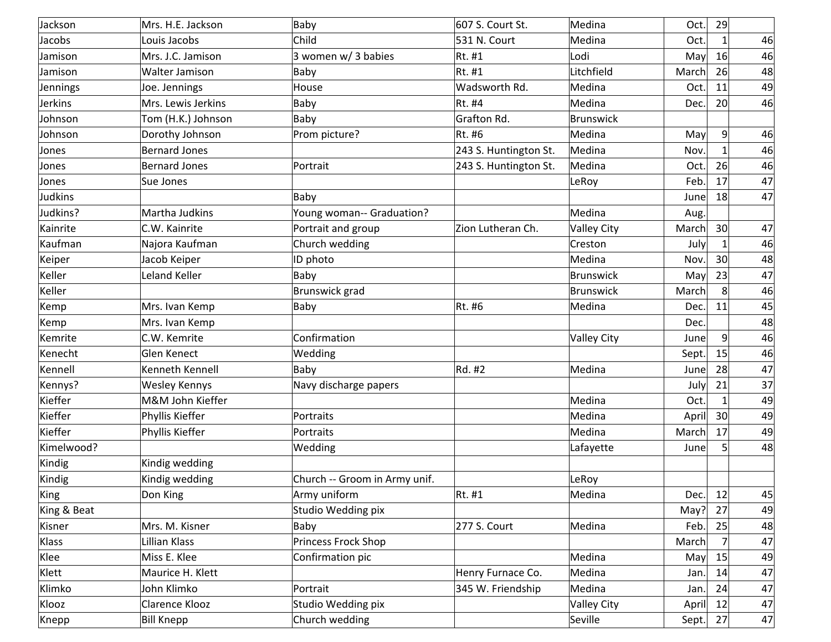| Jackson        | Mrs. H.E. Jackson    | Baby                          | 607 S. Court St.      | Medina             | Oct.  | 29                |    |
|----------------|----------------------|-------------------------------|-----------------------|--------------------|-------|-------------------|----|
| Jacobs         | Louis Jacobs         | Child                         | 531 N. Court          | Medina             | Oct.  | $1\vert$          | 46 |
| Jamison        | Mrs. J.C. Jamison    | 3 women w/ 3 babies           | Rt. #1                | Lodi               | May   | 16                | 46 |
| Jamison        | Walter Jamison       | Baby                          | Rt. #1                | Litchfield         | March | 26                | 48 |
| Jennings       | Joe. Jennings        | House                         | Wadsworth Rd.         | Medina             | Oct.  | 11                | 49 |
| <b>Jerkins</b> | Mrs. Lewis Jerkins   | Baby                          | Rt. #4                | Medina             | Dec.  | 20 <sup>1</sup>   | 46 |
| Johnson        | Tom (H.K.) Johnson   | Baby                          | Grafton Rd.           | <b>Brunswick</b>   |       |                   |    |
| Johnson        | Dorothy Johnson      | Prom picture?                 | Rt. #6                | Medina             | May   | 9                 | 46 |
| Jones          | <b>Bernard Jones</b> |                               | 243 S. Huntington St. | Medina             | Nov.  |                   | 46 |
| Jones          | <b>Bernard Jones</b> | Portrait                      | 243 S. Huntington St. | Medina             | Oct.  | 26                | 46 |
| Jones          | Sue Jones            |                               |                       | LeRoy              | Feb.  | 17                | 47 |
| Judkins        |                      | Baby                          |                       |                    | June  | 18                | 47 |
| Judkins?       | Martha Judkins       | Young woman-- Graduation?     |                       | Medina             | Aug.  |                   |    |
| Kainrite       | C.W. Kainrite        | Portrait and group            | Zion Lutheran Ch.     | <b>Valley City</b> | March | 30 <sup>°</sup>   | 47 |
| Kaufman        | Najora Kaufman       | Church wedding                |                       | Creston            | July  |                   | 46 |
| Keiper         | Jacob Keiper         | ID photo                      |                       | Medina             | Nov.  | 30 <sup>2</sup>   | 48 |
| Keller         | Leland Keller        | Baby                          |                       | <b>Brunswick</b>   | May   | 23                | 47 |
| Keller         |                      | Brunswick grad                |                       | Brunswick          | March | $\lvert 8 \rvert$ | 46 |
| Kemp           | Mrs. Ivan Kemp       | Baby                          | Rt. #6                | Medina             | Dec.  | 11                | 45 |
| Kemp           | Mrs. Ivan Kemp       |                               |                       |                    | Dec.  |                   | 48 |
| Kemrite        | C.W. Kemrite         | Confirmation                  |                       | <b>Valley City</b> | June  | $\vert 9 \vert$   | 46 |
| Kenecht        | <b>Glen Kenect</b>   | Wedding                       |                       |                    | Sept. | 15                | 46 |
| Kennell        | Kenneth Kennell      | Baby                          | Rd. #2                | Medina             | June  | 28                | 47 |
| Kennys?        | <b>Wesley Kennys</b> | Navy discharge papers         |                       |                    | July  | 21                | 37 |
| Kieffer        | M&M John Kieffer     |                               |                       | Medina             | Oct.  |                   | 49 |
| Kieffer        | Phyllis Kieffer      | Portraits                     |                       | Medina             | April | 30 <sup>2</sup>   | 49 |
| Kieffer        | Phyllis Kieffer      | Portraits                     |                       | Medina             | March | 17                | 49 |
| Kimelwood?     |                      | Wedding                       |                       | Lafayette          | June  | 5                 | 48 |
| Kindig         | Kindig wedding       |                               |                       |                    |       |                   |    |
| Kindig         | Kindig wedding       | Church -- Groom in Army unif. |                       | LeRoy              |       |                   |    |
| King           | Don King             | Army uniform                  | Rt. #1                | Medina             | Dec.  | 12                | 45 |
| King & Beat    |                      | Studio Wedding pix            |                       |                    | May?  | 27                | 49 |
| Kisner         | Mrs. M. Kisner       | Baby                          | 277 S. Court          | Medina             | Feb.  | 25                | 48 |
| Klass          | Lillian Klass        | Princess Frock Shop           |                       |                    | March | $\overline{7}$    | 47 |
| Klee           | Miss E. Klee         | Confirmation pic              |                       | Medina             | May   | 15                | 49 |
| Klett          | Maurice H. Klett     |                               | Henry Furnace Co.     | Medina             | Jan.  | 14                | 47 |
| Klimko         | John Klimko          | Portrait                      | 345 W. Friendship     | Medina             | Jan.  | 24                | 47 |
| Klooz          | Clarence Klooz       | Studio Wedding pix            |                       | <b>Valley City</b> | April | 12                | 47 |
| Knepp          | <b>Bill Knepp</b>    | Church wedding                |                       | Seville            | Sept. | 27                | 47 |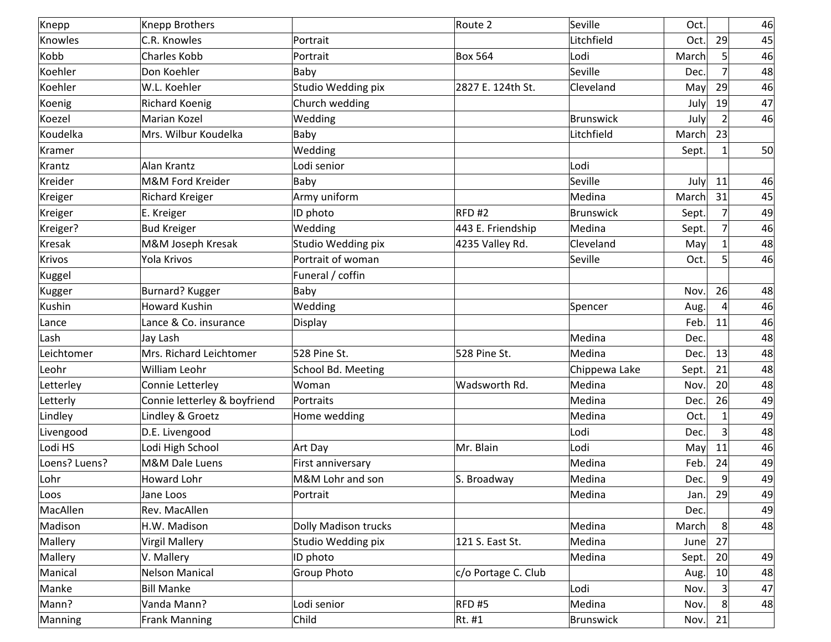| Knepp         | Knepp Brothers               |                             | Route 2             | Seville       | Oct.  |              | 46 |
|---------------|------------------------------|-----------------------------|---------------------|---------------|-------|--------------|----|
| Knowles       | C.R. Knowles                 | Portrait                    |                     | Litchfield    | Oct.  | 29           | 45 |
| Kobb          | <b>Charles Kobb</b>          | Portrait                    | <b>Box 564</b>      | Lodi          | March | 5            | 46 |
| Koehler       | Don Koehler                  | Baby                        |                     | Seville       | Dec.  | 7            | 48 |
| Koehler       | W.L. Koehler                 | Studio Wedding pix          | 2827 E. 124th St.   | Cleveland     | May   | 29           | 46 |
| Koenig        | <b>Richard Koenig</b>        | Church wedding              |                     |               | July  | 19           | 47 |
| Koezel        | Marian Kozel                 | Wedding                     |                     | Brunswick     | July  | 2            | 46 |
| Koudelka      | Mrs. Wilbur Koudelka         | Baby                        |                     | Litchfield    | March | 23           |    |
| Kramer        |                              | Wedding                     |                     |               | Sept. | 1            | 50 |
| Krantz        | Alan Krantz                  | Lodi senior                 |                     | Lodi          |       |              |    |
| Kreider       | M&M Ford Kreider             | Baby                        |                     | Seville       | July  | 11           | 46 |
| Kreiger       | <b>Richard Kreiger</b>       | Army uniform                |                     | Medina        | March | 31           | 45 |
| Kreiger       | E. Kreiger                   | ID photo                    | RFD#2               | Brunswick     | Sept. | 7            | 49 |
| Kreiger?      | <b>Bud Kreiger</b>           | Wedding                     | 443 E. Friendship   | Medina        | Sept. | 7            | 46 |
| Kresak        | M&M Joseph Kresak            | Studio Wedding pix          | 4235 Valley Rd.     | Cleveland     | May   |              | 48 |
| Krivos        | Yola Krivos                  | Portrait of woman           |                     | Seville       | Oct.  | 5            | 46 |
| Kuggel        |                              | Funeral / coffin            |                     |               |       |              |    |
| Kugger        | Burnard? Kugger              | Baby                        |                     |               | Nov.  | 26           | 48 |
| Kushin        | <b>Howard Kushin</b>         | Wedding                     |                     | Spencer       | Aug.  |              | 46 |
| Lance         | Lance & Co. insurance        | Display                     |                     |               | Feb.  | 11           | 46 |
| Lash          | Jay Lash                     |                             |                     | Medina        | Dec.  |              | 48 |
| Leichtomer    | Mrs. Richard Leichtomer      | 528 Pine St.                | 528 Pine St.        | Medina        | Dec.  | 13           | 48 |
| Leohr         | William Leohr                | School Bd. Meeting          |                     | Chippewa Lake | Sept. | 21           | 48 |
| Letterley     | Connie Letterley             | Woman                       | Wadsworth Rd.       | Medina        | Nov.  | 20           | 48 |
| Letterly      | Connie letterley & boyfriend | Portraits                   |                     | Medina        | Dec.  | 26           | 49 |
| Lindley       | Lindley & Groetz             | Home wedding                |                     | Medina        | Oct.  | $\mathbf{1}$ | 49 |
| Livengood     | D.E. Livengood               |                             |                     | Lodi          | Dec.  | 3            | 48 |
| Lodi HS       | Lodi High School             | Art Day                     | Mr. Blain           | Lodi          | May   | 11           | 46 |
| Loens? Luens? | M&M Dale Luens               | First anniversary           |                     | Medina        | Feb.  | 24           | 49 |
| Lohr          | <b>Howard Lohr</b>           | M&M Lohr and son            | S. Broadway         | Medina        | Dec.  | 9            | 49 |
| Loos          | Jane Loos                    | Portrait                    |                     | Medina        | Jan.  | 29           | 49 |
| MacAllen      | Rev. MacAllen                |                             |                     |               | Dec.  |              | 49 |
| Madison       | H.W. Madison                 | <b>Dolly Madison trucks</b> |                     | Medina        | March | 8            | 48 |
| Mallery       | <b>Virgil Mallery</b>        | Studio Wedding pix          | 121 S. East St.     | Medina        | June  | 27           |    |
| Mallery       | V. Mallery                   | ID photo                    |                     | Medina        | Sept. | 20           | 49 |
| Manical       | <b>Nelson Manical</b>        | Group Photo                 | c/o Portage C. Club |               | Aug.  | 10           | 48 |
| Manke         | <b>Bill Manke</b>            |                             |                     | Lodi          | Nov.  | 3            | 47 |
| Mann?         | Vanda Mann?                  | Lodi senior                 | $RED$ #5            | Medina        | Nov.  | 8            | 48 |
| Manning       | <b>Frank Manning</b>         | Child                       | $Rt.$ #1            | Brunswick     | Nov.  | 21           |    |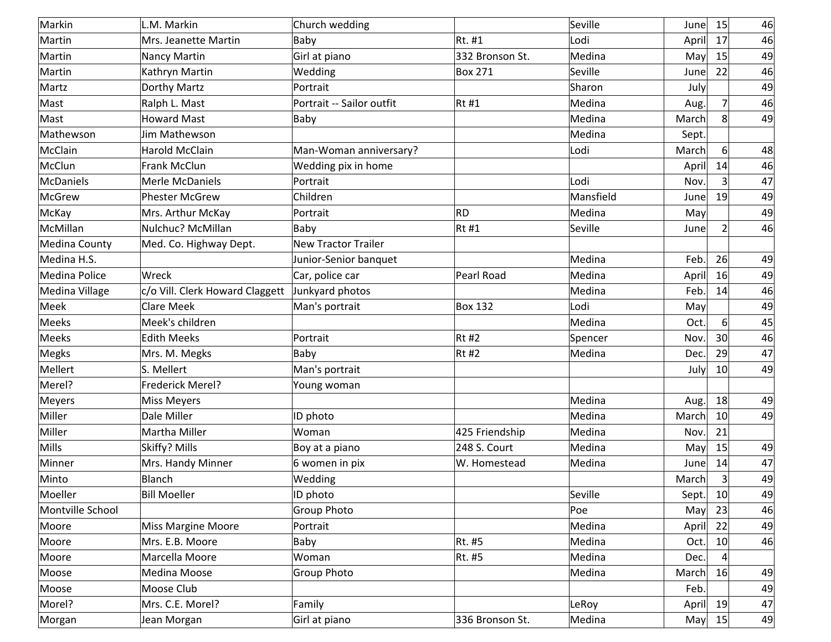| Markin           | L.M. Markin                     | Church wedding            |                 | Seville   | June  | 15              | 46 |
|------------------|---------------------------------|---------------------------|-----------------|-----------|-------|-----------------|----|
| Martin           | Mrs. Jeanette Martin            | Baby                      | Rt. #1          | Lodi      | April | 17              | 46 |
| Martin           | Nancy Martin                    | Girl at piano             | 332 Bronson St. | Medina    | May   | 15              | 49 |
| Martin           | Kathryn Martin                  | Wedding                   | <b>Box 271</b>  | Seville   | June  | 22              | 46 |
| Martz            | Dorthy Martz                    | Portrait                  |                 | Sharon    | July  |                 | 49 |
| Mast             | Ralph L. Mast                   | Portrait -- Sailor outfit | $Rt$ #1         | Medina    | Aug.  | 7               | 46 |
| Mast             | <b>Howard Mast</b>              | Baby                      |                 | Medina    | March | 8               | 49 |
| Mathewson        | Jim Mathewson                   |                           |                 | Medina    | Sept. |                 |    |
| McClain          | <b>Harold McClain</b>           | Man-Woman anniversary?    |                 | Lodi      | March | 6 <sup>1</sup>  | 48 |
| McClun           | Frank McClun                    | Wedding pix in home       |                 |           | April | 14              | 46 |
| McDaniels        | Merle McDaniels                 | Portrait                  |                 | Lodi      | Nov.  | 3 <sup>1</sup>  | 47 |
| McGrew           | <b>Phester McGrew</b>           | Children                  |                 | Mansfield | June  | 19              | 49 |
| McKay            | Mrs. Arthur McKay               | Portrait                  | RD              | Medina    | May   |                 | 49 |
| McMillan         | Nulchuc? McMillan               | Baby                      | $Rt$ #1         | Seville   | June  | 2               | 46 |
| Medina County    | Med. Co. Highway Dept.          | New Tractor Trailer       |                 |           |       |                 |    |
| Medina H.S.      |                                 | Junior-Senior banquet     |                 | Medina    | Feb.  | 26              | 49 |
| Medina Police    | Wreck                           | Car, police car           | Pearl Road      | Medina    | April | 16              | 49 |
| Medina Village   | c/o Vill. Clerk Howard Claggett | Junkyard photos           |                 | Medina    | Feb.  | 14              | 46 |
| Meek             | <b>Clare Meek</b>               | Man's portrait            | <b>Box 132</b>  | Lodi      | May   |                 | 49 |
| Meeks            | Meek's children                 |                           |                 | Medina    | Oct.  | $6 \mid$        | 45 |
| Meeks            | <b>Edith Meeks</b>              | Portrait                  | Rt#2            | Spencer   | Nov.  | 30 <sup>°</sup> | 46 |
| Megks            | Mrs. M. Megks                   | Baby                      | $Rt$ #2         | Medina    | Dec.  | 29              | 47 |
| Mellert          | S. Mellert                      | Man's portrait            |                 |           | July  | 10              | 49 |
| Merel?           | Frederick Merel?                | Young woman               |                 |           |       |                 |    |
| Meyers           | <b>Miss Meyers</b>              |                           |                 | Medina    | Aug.  | 18              | 49 |
| Miller           | Dale Miller                     | ID photo                  |                 | Medina    | March | 10              | 49 |
| Miller           | Martha Miller                   | Woman                     | 425 Friendship  | Medina    | Nov.  | 21              |    |
| Mills            | Skiffy? Mills                   | Boy at a piano            | 248 S. Court    | Medina    | May   | 15              | 49 |
| Minner           | Mrs. Handy Minner               | 6 women in pix            | W. Homestead    | Medina    | June  | 14              | 47 |
| Minto            | Blanch                          | Wedding                   |                 |           | March | 3 <sup>1</sup>  | 49 |
| Moeller          | <b>Bill Moeller</b>             | ID photo                  |                 | Seville   | Sept. | 10              | 49 |
| Montville School |                                 | Group Photo               |                 | Poe       | May   | 23              | 46 |
| Moore            | <b>Miss Margine Moore</b>       | Portrait                  |                 | Medina    | April | 22              | 49 |
| Moore            | Mrs. E.B. Moore                 | Baby                      | Rt. #5          | Medina    | Oct.  | 10 <sup>°</sup> | 46 |
| Moore            | Marcella Moore                  | Woman                     | Rt. #5          | Medina    | Dec.  |                 |    |
| Moose            | Medina Moose                    | Group Photo               |                 | Medina    | March | 16              | 49 |
| Moose            | Moose Club                      |                           |                 |           | Feb.  |                 | 49 |
| Morel?           | Mrs. C.E. Morel?                | Family                    |                 | LeRoy     | April | 19              | 47 |
| Morgan           | Jean Morgan                     | Girl at piano             | 336 Bronson St. | Medina    | May   | 15              | 49 |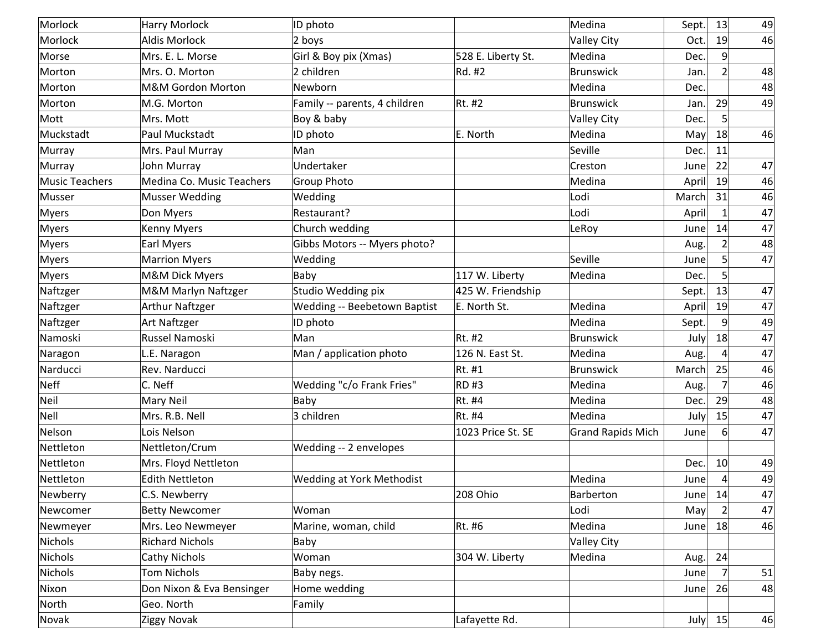| Morlock        | Harry Morlock                | ID photo                         |                    | Medina                   | Sept. | 13             | 49 |
|----------------|------------------------------|----------------------------------|--------------------|--------------------------|-------|----------------|----|
| Morlock        | <b>Aldis Morlock</b>         | 2 boys                           |                    | <b>Valley City</b>       | Oct.  | 19             | 46 |
| Morse          | Mrs. E. L. Morse             | Girl & Boy pix (Xmas)            | 528 E. Liberty St. | Medina                   | Dec.  | 9              |    |
| Morton         | Mrs. O. Morton               | 2 children                       | Rd. #2             | <b>Brunswick</b>         | Jan.  | $\overline{2}$ | 48 |
| Morton         | <b>M&amp;M Gordon Morton</b> | Newborn                          |                    | Medina                   | Dec.  |                | 48 |
| Morton         | M.G. Morton                  | Family -- parents, 4 children    | Rt. #2             | <b>Brunswick</b>         | Jan.  | 29             | 49 |
| Mott           | Mrs. Mott                    | Boy & baby                       |                    | <b>Valley City</b>       | Dec.  | 5 <sub>l</sub> |    |
| Muckstadt      | Paul Muckstadt               | ID photo                         | E. North           | Medina                   | May   | 18             | 46 |
| Murray         | Mrs. Paul Murray             | Man                              |                    | Seville                  | Dec.  | 11             |    |
| Murray         | John Murray                  | Undertaker                       |                    | Creston                  | June  | 22             | 47 |
| Music Teachers | Medina Co. Music Teachers    | <b>Group Photo</b>               |                    | Medina                   | April | 19             | 46 |
| Musser         | <b>Musser Wedding</b>        | Wedding                          |                    | Lodi                     | March | 31             | 46 |
| Myers          | Don Myers                    | Restaurant?                      |                    | Lodi                     | April |                | 47 |
| Myers          | Kenny Myers                  | Church wedding                   |                    | LeRoy                    | June  | 14             | 47 |
| Myers          | Earl Myers                   | Gibbs Motors -- Myers photo?     |                    |                          | Aug.  | 2              | 48 |
| Myers          | <b>Marrion Myers</b>         | Wedding                          |                    | Seville                  | June  | 5 <sup>1</sup> | 47 |
| Myers          | M&M Dick Myers               | Baby                             | 117 W. Liberty     | Medina                   | Dec.  | 5              |    |
| Naftzger       | M&M Marlyn Naftzger          | Studio Wedding pix               | 425 W. Friendship  |                          | Sept. | 13             | 47 |
| Naftzger       | <b>Arthur Naftzger</b>       | Wedding -- Beebetown Baptist     | E. North St.       | Medina                   | April | 19             | 47 |
| Naftzger       | Art Naftzger                 | ID photo                         |                    | Medina                   | Sept. | $\overline{9}$ | 49 |
| Namoski        | Russel Namoski               | Man                              | Rt. #2             | Brunswick                | July  | 18             | 47 |
| Naragon        | L.E. Naragon                 | Man / application photo          | 126 N. East St.    | Medina                   | Aug.  | 4              | 47 |
| Narducci       | Rev. Narducci                |                                  | Rt. #1             | <b>Brunswick</b>         | March | 25             | 46 |
| Neff           | C. Neff                      | Wedding "c/o Frank Fries"        | $RD$ #3            | Medina                   | Aug.  | $\overline{7}$ | 46 |
| Neil           | <b>Mary Neil</b>             | Baby                             | Rt. #4             | Medina                   | Dec.  | 29             | 48 |
| Nell           | Mrs. R.B. Nell               | 3 children                       | Rt. #4             | Medina                   | July  | 15             | 47 |
| Nelson         | Lois Nelson                  |                                  | 1023 Price St. SE  | <b>Grand Rapids Mich</b> | June  | 6              | 47 |
| Nettleton      | Nettleton/Crum               | Wedding -- 2 envelopes           |                    |                          |       |                |    |
| Nettleton      | Mrs. Floyd Nettleton         |                                  |                    |                          | Dec.  | 10             | 49 |
| Nettleton      | <b>Edith Nettleton</b>       | <b>Wedding at York Methodist</b> |                    | Medina                   | June  | 4              | 49 |
| Newberry       | C.S. Newberry                |                                  | 208 Ohio           | Barberton                | June  | 14             | 47 |
| Newcomer       | <b>Betty Newcomer</b>        | Woman                            |                    | Lodi                     | May   | 2              | 47 |
| Newmeyer       | Mrs. Leo Newmeyer            | Marine, woman, child             | Rt. #6             | Medina                   | June  | 18             | 46 |
| Nichols        | <b>Richard Nichols</b>       | Baby                             |                    | Valley City              |       |                |    |
| Nichols        | <b>Cathy Nichols</b>         | Woman                            | 304 W. Liberty     | Medina                   | Aug.  | 24             |    |
| Nichols        | <b>Tom Nichols</b>           | Baby negs.                       |                    |                          | June  | $\overline{7}$ | 51 |
| Nixon          | Don Nixon & Eva Bensinger    | Home wedding                     |                    |                          | June  | 26             | 48 |
| North          | Geo. North                   | Family                           |                    |                          |       |                |    |
| Novak          | Ziggy Novak                  |                                  | Lafayette Rd.      |                          |       | July $15$      | 46 |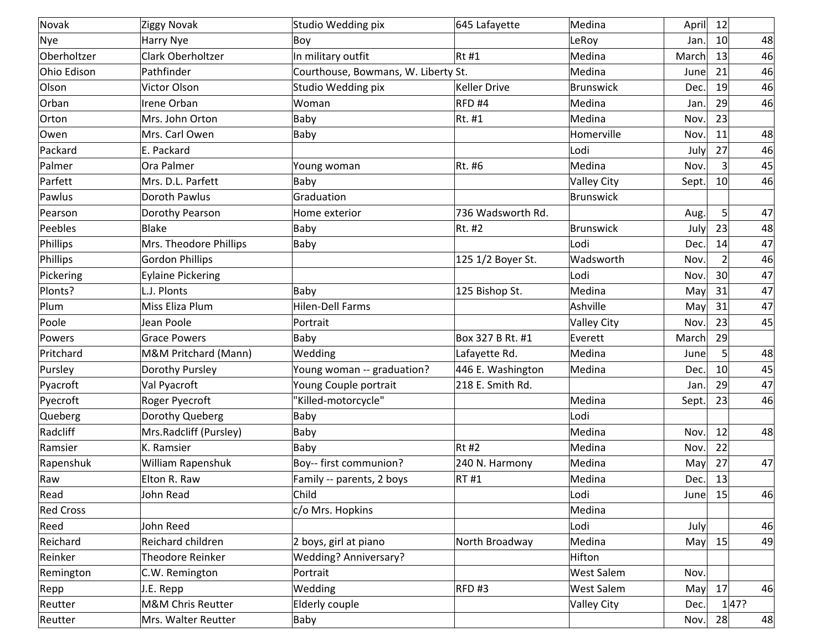| Novak            | Ziggy Novak              | Studio Wedding pix                  | 645 Lafayette       | Medina             | April | 12              |    |
|------------------|--------------------------|-------------------------------------|---------------------|--------------------|-------|-----------------|----|
| Nye              | <b>Harry Nye</b>         | Boy                                 |                     | LeRoy              | Jan.  | 10              | 48 |
| Oberholtzer      | Clark Oberholtzer        | In military outfit                  | Rt #1               | Medina             | March | 13              | 46 |
| Ohio Edison      | Pathfinder               | Courthouse, Bowmans, W. Liberty St. |                     | Medina             | June  | 21              | 46 |
| Olson            | Victor Olson             | Studio Wedding pix                  | <b>Keller Drive</b> | <b>Brunswick</b>   | Dec   | 19              | 46 |
| Orban            | Irene Orban              | Woman                               | RFD <sub>#4</sub>   | Medina             | Jan.  | 29              | 46 |
| Orton            | Mrs. John Orton          | Baby                                | Rt. #1              | Medina             | Nov.  | 23              |    |
| Owen             | Mrs. Carl Owen           | Baby                                |                     | Homerville         | Nov.  | 11              | 48 |
| Packard          | E. Packard               |                                     |                     | Lodi               | July  | 27              | 46 |
| Palmer           | Ora Palmer               | Young woman                         | Rt. #6              | Medina             | Nov.  | $\overline{3}$  | 45 |
| Parfett          | Mrs. D.L. Parfett        | Baby                                |                     | <b>Valley City</b> | Sept. | 10              | 46 |
| Pawlus           | Doroth Pawlus            | Graduation                          |                     | <b>Brunswick</b>   |       |                 |    |
| Pearson          | Dorothy Pearson          | Home exterior                       | 736 Wadsworth Rd.   |                    | Aug.  | $\mathsf{S}$    | 47 |
| Peebles          | <b>Blake</b>             | Baby                                | Rt. #2              | <b>Brunswick</b>   | July  | 23              | 48 |
| Phillips         | Mrs. Theodore Phillips   | Baby                                |                     | Lodi               | Dec   | 14              | 47 |
| Phillips         | <b>Gordon Phillips</b>   |                                     | 125 1/2 Boyer St.   | Wadsworth          | Nov.  | 2               | 46 |
| Pickering        | <b>Eylaine Pickering</b> |                                     |                     | Lodi               | Nov.  | 30 <sup>1</sup> | 47 |
| Plonts?          | L.J. Plonts              | Baby                                | 125 Bishop St.      | Medina             | May   | 31              | 47 |
| Plum             | Miss Eliza Plum          | Hilen-Dell Farms                    |                     | Ashville           | May   | 31              | 47 |
| Poole            | Jean Poole               | Portrait                            |                     | <b>Valley City</b> | Nov.  | 23              | 45 |
| Powers           | <b>Grace Powers</b>      | Baby                                | Box 327 B Rt. #1    | Everett            | March | 29              |    |
| Pritchard        | M&M Pritchard (Mann)     | Wedding                             | Lafayette Rd.       | Medina             | June  | 5 <sup>1</sup>  | 48 |
| Pursley          | Dorothy Pursley          | Young woman -- graduation?          | 446 E. Washington   | Medina             | Dec.  | 10              | 45 |
| Pyacroft         | Val Pyacroft             | Young Couple portrait               | 218 E. Smith Rd.    |                    | Jan.  | 29              | 47 |
| Pyecroft         | Roger Pyecroft           | "Killed-motorcycle"                 |                     | Medina             | Sept. | 23              | 46 |
| Queberg          | Dorothy Queberg          | Baby                                |                     | Lodi               |       |                 |    |
| Radcliff         | Mrs.Radcliff (Pursley)   | Baby                                |                     | Medina             | Nov.  | 12              | 48 |
| Ramsier          | K. Ramsier               | Baby                                | <b>Rt #2</b>        | Medina             | Nov.  | 22              |    |
| Rapenshuk        | William Rapenshuk        | Boy-- first communion?              | 240 N. Harmony      | Medina             | May   | 27              | 47 |
| Raw              | Elton R. Raw             | Family -- parents, 2 boys           | <b>RT#1</b>         | Medina             | Dec.  | 13              |    |
| Read             | John Read                | Child                               |                     | Lodi               | June  | 15              | 46 |
| <b>Red Cross</b> |                          | c/o Mrs. Hopkins                    |                     | Medina             |       |                 |    |
| Reed             | John Reed                |                                     |                     | Lodi               | July  |                 | 46 |
| Reichard         | Reichard children        | 2 boys, girl at piano               | North Broadway      | Medina             | May   | 15              | 49 |
| Reinker          | Theodore Reinker         | <b>Wedding? Anniversary?</b>        |                     | Hifton             |       |                 |    |
| Remington        | C.W. Remington           | Portrait                            |                     | <b>West Salem</b>  | Nov.  |                 |    |
| Repp             | J.E. Repp                | Wedding                             | RFD#3               | West Salem         | May   | 17              | 46 |
| Reutter          | M&M Chris Reutter        | Elderly couple                      |                     | <b>Valley City</b> | Dec.  | 1 47?           |    |
| Reutter          | Mrs. Walter Reutter      | Baby                                |                     |                    | Nov.  | 28              | 48 |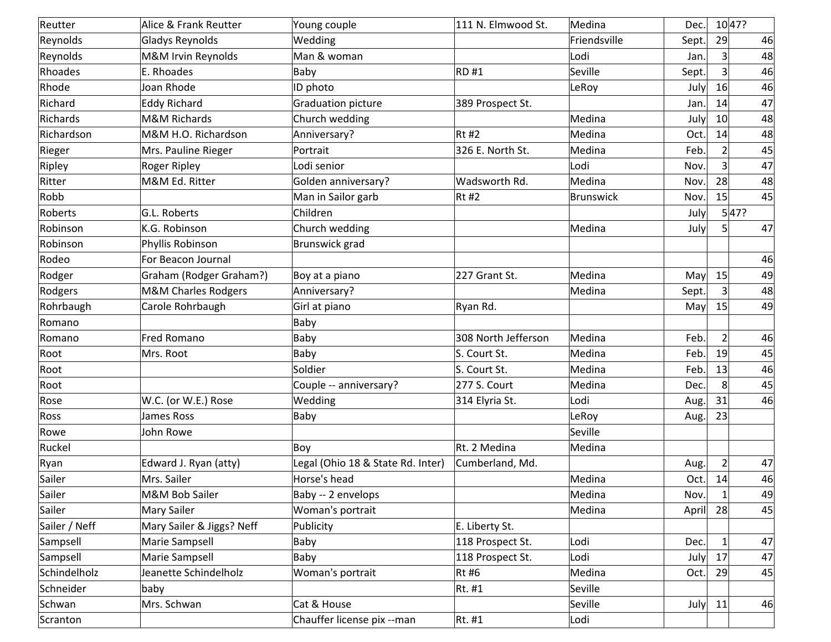| Reutter       | Alice & Frank Reutter          | Young couple                      | 111 N. Elmwood St.  | Medina       | Dec.  |                | 10 47? |
|---------------|--------------------------------|-----------------------------------|---------------------|--------------|-------|----------------|--------|
| Reynolds      | <b>Gladys Reynolds</b>         | Wedding                           |                     | Friendsville | Sept. | 29             | 46     |
| Reynolds      | M&M Irvin Reynolds             | Man & woman                       |                     | Lodi         | Jan.  | $\overline{3}$ | 48     |
| Rhoades       | E. Rhoades                     | Baby                              | RD#1                | Seville      | Sept. | $\mathsf{S}$   | 46     |
| Rhode         | Joan Rhode                     | ID photo                          |                     | LeRoy        | July  | 16             | 46     |
| Richard       | <b>Eddy Richard</b>            | Graduation picture                | 389 Prospect St.    |              | Jan.  | 14             | 47     |
| Richards      | M&M Richards                   | Church wedding                    |                     | Medina       | July  | 10             | 48     |
| Richardson    | M&M H.O. Richardson            | Anniversary?                      | $Rt$ #2             | Medina       | Oct.  | 14             | 48     |
| Rieger        | Mrs. Pauline Rieger            | Portrait                          | 326 E. North St.    | Medina       | Feb.  | $\overline{2}$ | 45     |
| Ripley        | Roger Ripley                   | Lodi senior                       |                     | Lodi         | Nov.  | $\overline{3}$ | 47     |
| Ritter        | M&M Ed. Ritter                 | Golden anniversary?               | Wadsworth Rd.       | Medina       | Nov.  | 28             | 48     |
| Robb          |                                | Man in Sailor garb                | $Rt$ #2             | Brunswick    | Nov.  | 15             | 45     |
| Roberts       | G.L. Roberts                   | Children                          |                     |              | July  |                | 5 47?  |
| Robinson      | K.G. Robinson                  | Church wedding                    |                     | Medina       | July  | 5 <sup>1</sup> | 47     |
| Robinson      | Phyllis Robinson               | Brunswick grad                    |                     |              |       |                |        |
| Rodeo         | For Beacon Journal             |                                   |                     |              |       |                | 46     |
| Rodger        | Graham (Rodger Graham?)        | Boy at a piano                    | 227 Grant St.       | Medina       | May   | 15             | 49     |
| Rodgers       | <b>M&amp;M Charles Rodgers</b> | Anniversary?                      |                     | Medina       | Sept. | $\overline{3}$ | 48     |
| Rohrbaugh     | Carole Rohrbaugh               | Girl at piano                     | Ryan Rd.            |              | May   | 15             | 49     |
| Romano        |                                | Baby                              |                     |              |       |                |        |
| Romano        | <b>Fred Romano</b>             | Baby                              | 308 North Jefferson | Medina       | Feb.  | $\overline{2}$ | 46     |
| Root          | Mrs. Root                      | Baby                              | S. Court St.        | Medina       | Feb.  | 19             | 45     |
| Root          |                                | Soldier                           | S. Court St.        | Medina       | Feb.  | 13             | 46     |
| Root          |                                | Couple -- anniversary?            | 277 S. Court        | Medina       | Dec.  | 8              | 45     |
| Rose          | W.C. (or W.E.) Rose            | Wedding                           | 314 Elyria St.      | Lodi         | Aug.  | 31             | 46     |
| Ross          | <b>James Ross</b>              | Baby                              |                     | LeRoy        | Aug.  | 23             |        |
| Rowe          | John Rowe                      |                                   |                     | Seville      |       |                |        |
| Ruckel        |                                | Boy                               | Rt. 2 Medina        | Medina       |       |                |        |
| Ryan          | Edward J. Ryan (atty)          | Legal (Ohio 18 & State Rd. Inter) | Cumberland, Md.     |              | Aug.  | $\overline{2}$ | 47     |
| Sailer        | Mrs. Sailer                    | Horse's head                      |                     | Medina       | Oct.  | 14             | 46     |
| Sailer        | M&M Bob Sailer                 | Baby -- 2 envelops                |                     | Medina       | Nov.  | $\mathbf{1}$   | 49     |
| Sailer        | <b>Mary Sailer</b>             | Woman's portrait                  |                     | Medina       | April | 28             | 45     |
| Sailer / Neff | Mary Sailer & Jiggs? Neff      | Publicity                         | E. Liberty St.      |              |       |                |        |
| Sampsell      | Marie Sampsell                 | Baby                              | 118 Prospect St.    | Lodi         | Dec.  | 1              | 47     |
| Sampsell      | Marie Sampsell                 | Baby                              | 118 Prospect St.    | Lodi         | July  | 17             | 47     |
| Schindelholz  | Jeanette Schindelholz          | Woman's portrait                  | <b>Rt #6</b>        | Medina       | Oct.  | 29             | 45     |
| Schneider     | baby                           |                                   | Rt. #1              | Seville      |       |                |        |
| Schwan        | Mrs. Schwan                    | Cat & House                       |                     | Seville      | July  | 11             | 46     |
| Scranton      |                                | Chauffer license pix --man        | Rt. #1              | Lodi         |       |                |        |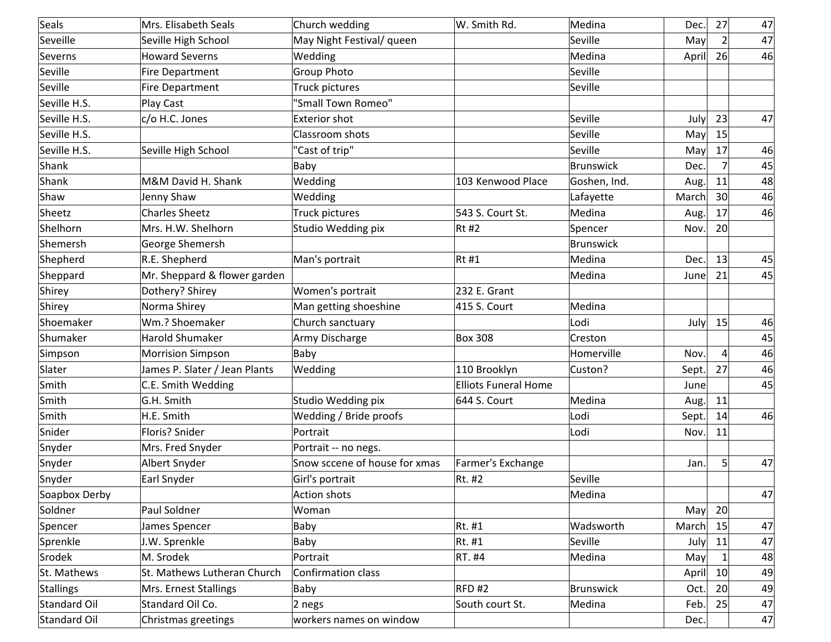| Seals            | Mrs. Elisabeth Seals          | Church wedding                | W. Smith Rd.                | Medina       | Dec.  | 27              | 47 |
|------------------|-------------------------------|-------------------------------|-----------------------------|--------------|-------|-----------------|----|
| Seveille         | Seville High School           | May Night Festival/ queen     |                             | Seville      | May   | $\overline{2}$  | 47 |
| Severns          | <b>Howard Severns</b>         | Wedding                       |                             | Medina       | April | 26              | 46 |
| Seville          | <b>Fire Department</b>        | <b>Group Photo</b>            |                             | Seville      |       |                 |    |
| Seville          | <b>Fire Department</b>        | Truck pictures                |                             | Seville      |       |                 |    |
| Seville H.S.     | Play Cast                     | "Small Town Romeo"            |                             |              |       |                 |    |
| Seville H.S.     | c/o H.C. Jones                | <b>Exterior shot</b>          |                             | Seville      | July  | 23              | 47 |
| Seville H.S.     |                               | Classroom shots               |                             | Seville      | May   | 15              |    |
| Seville H.S.     | Seville High School           | "Cast of trip"                |                             | Seville      | May   | 17              | 46 |
| Shank            |                               | Baby                          |                             | Brunswick    | Dec.  | $\overline{7}$  | 45 |
| Shank            | M&M David H. Shank            | Wedding                       | 103 Kenwood Place           | Goshen, Ind. | Aug.  | 11              | 48 |
| Shaw             | Jenny Shaw                    | Wedding                       |                             | Lafayette    | March | 30              | 46 |
| Sheetz           | <b>Charles Sheetz</b>         | Truck pictures                | 543 S. Court St.            | Medina       | Aug.  | 17              | 46 |
| Shelhorn         | Mrs. H.W. Shelhorn            | Studio Wedding pix            | $Rt$ #2                     | Spencer      | Nov.  | 20              |    |
| Shemersh         | George Shemersh               |                               |                             | Brunswick    |       |                 |    |
| Shepherd         | R.E. Shepherd                 | Man's portrait                | $Rt$ #1                     | Medina       | Dec.  | 13              | 45 |
| Sheppard         | Mr. Sheppard & flower garden  |                               |                             | Medina       | June  | 21              | 45 |
| Shirey           | Dothery? Shirey               | Women's portrait              | 232 E. Grant                |              |       |                 |    |
| Shirey           | Norma Shirey                  | Man getting shoeshine         | 415 S. Court                | Medina       |       |                 |    |
| Shoemaker        | Wm.? Shoemaker                | Church sanctuary              |                             | Lodi         | July  | 15              | 46 |
| Shumaker         | Harold Shumaker               | Army Discharge                | <b>Box 308</b>              | Creston      |       |                 | 45 |
| Simpson          | <b>Morrision Simpson</b>      | Baby                          |                             | Homerville   | Nov.  | 4               | 46 |
| Slater           | James P. Slater / Jean Plants | Wedding                       | 110 Brooklyn                | Custon?      | Sept. | 27              | 46 |
| Smith            | C.E. Smith Wedding            |                               | <b>Elliots Funeral Home</b> |              | June  |                 | 45 |
| Smith            | G.H. Smith                    | Studio Wedding pix            | 644 S. Court                | Medina       | Aug.  | 11              |    |
| Smith            | H.E. Smith                    | Wedding / Bride proofs        |                             | Lodi         | Sept. | 14              | 46 |
| Snider           | Floris? Snider                | Portrait                      |                             | Lodi         | Nov.  | 11              |    |
| Snyder           | Mrs. Fred Snyder              | Portrait -- no negs.          |                             |              |       |                 |    |
| Snyder           | Albert Snyder                 | Snow sccene of house for xmas | Farmer's Exchange           |              | Jan.  | 5               | 47 |
| Snyder           | Earl Snyder                   | Girl's portrait               | Rt. #2                      | Seville      |       |                 |    |
| Soapbox Derby    |                               | Action shots                  |                             | Medina       |       |                 | 47 |
| Soldner          | Paul Soldner                  | Woman                         |                             |              | May   | 20              |    |
| Spencer          | James Spencer                 | Baby                          | $Rt.$ #1                    | Wadsworth    | March | 15              | 47 |
| Sprenkle         | J.W. Sprenkle                 | Baby                          | Rt. #1                      | Seville      | July  | 11              | 47 |
| Srodek           | M. Srodek                     | Portrait                      | $RT.$ #4                    | Medina       | May   |                 | 48 |
| St. Mathews      | St. Mathews Lutheran Church   | Confirmation class            |                             |              | April | 10 <sup>1</sup> | 49 |
| <b>Stallings</b> | Mrs. Ernest Stallings         | Baby                          | RFD#2                       | Brunswick    | Oct.  | 20              | 49 |
| Standard Oil     | Standard Oil Co.              | $2$ negs                      | South court St.             | Medina       | Feb.  | 25              | 47 |
| Standard Oil     | Christmas greetings           | workers names on window       |                             |              | Dec.  |                 | 47 |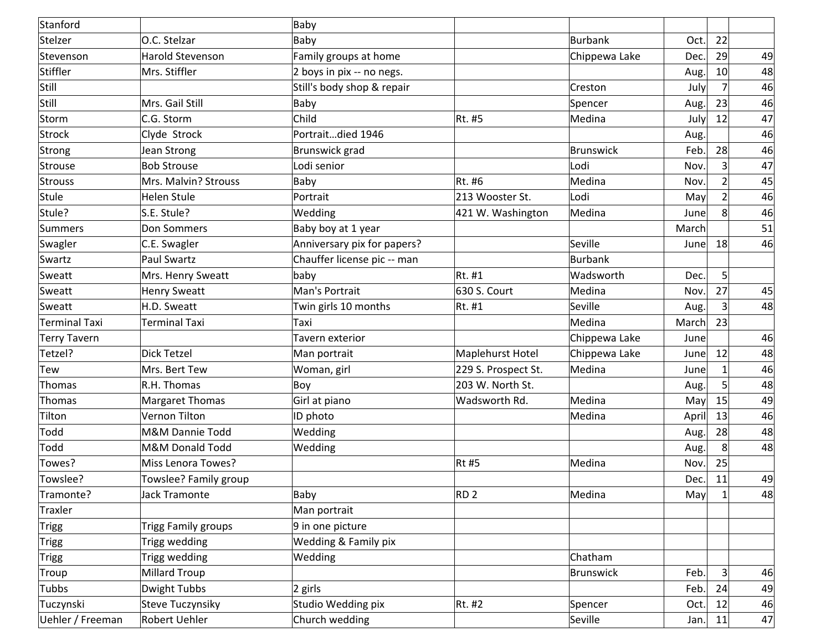| Stanford            |                            | Baby                            |                     |               |       |                |    |
|---------------------|----------------------------|---------------------------------|---------------------|---------------|-------|----------------|----|
| Stelzer             | O.C. Stelzar               | Baby                            |                     | Burbank       | Oct.  | 22             |    |
| Stevenson           | Harold Stevenson           | Family groups at home           |                     | Chippewa Lake | Dec.  | 29             | 49 |
| Stiffler            | Mrs. Stiffler              | 2 boys in pix -- no negs.       |                     |               | Aug.  | 10             | 48 |
| Still               |                            | Still's body shop & repair      |                     | Creston       | July  | $\overline{7}$ | 46 |
| Still               | Mrs. Gail Still            | Baby                            |                     | Spencer       | Aug.  | 23             | 46 |
| Storm               | C.G. Storm                 | Child                           | Rt. #5              | Medina        | July  | 12             | 47 |
| Strock              | Clyde Strock               | Portraitdied 1946               |                     |               | Aug.  |                | 46 |
| Strong              | Jean Strong                | Brunswick grad                  |                     | Brunswick     | Feb.  | 28             | 46 |
| Strouse             | <b>Bob Strouse</b>         | Lodi senior                     |                     | Lodi          | Nov.  | 3 <sup>1</sup> | 47 |
| Strouss             | Mrs. Malvin? Strouss       | Baby                            | Rt. #6              | Medina        | Nov.  | $\overline{2}$ | 45 |
| Stule               | Helen Stule                | Portrait                        | 213 Wooster St.     | Lodi          | May   | $\overline{2}$ | 46 |
| Stule?              | S.E. Stule?                | Wedding                         | 421 W. Washington   | Medina        | June  | 8 <sup>°</sup> | 46 |
| Summers             | Don Sommers                | Baby boy at 1 year              |                     |               | March |                | 51 |
| Swagler             | C.E. Swagler               | Anniversary pix for papers?     |                     | Seville       | June  | 18             | 46 |
| Swartz              | <b>Paul Swartz</b>         | Chauffer license pic -- man     |                     | Burbank       |       |                |    |
| Sweatt              | Mrs. Henry Sweatt          | baby                            | Rt. #1              | Wadsworth     | Dec.  | $\mathsf{S}$   |    |
| Sweatt              | <b>Henry Sweatt</b>        | Man's Portrait                  | 630 S. Court        | Medina        | Nov.  | 27             | 45 |
| Sweatt              | H.D. Sweatt                | Twin girls 10 months            | Rt. #1              | Seville       | Aug.  | $\vert$ 3      | 48 |
| Terminal Taxi       | Terminal Taxi              | Taxi                            |                     | Medina        | March | 23             |    |
| <b>Terry Tavern</b> |                            | Tavern exterior                 |                     | Chippewa Lake | Junel |                | 46 |
| Tetzel?             | <b>Dick Tetzel</b>         | Man portrait                    | Maplehurst Hotel    | Chippewa Lake | June  | 12             | 48 |
| Tew                 | Mrs. Bert Tew              | Woman, girl                     | 229 S. Prospect St. | Medina        | June  |                | 46 |
| Thomas              | R.H. Thomas                | Boy                             | 203 W. North St.    |               | Aug.  | 5 <sup>1</sup> | 48 |
| Thomas              | <b>Margaret Thomas</b>     | Girl at piano                   | Wadsworth Rd.       | Medina        | May   | 15             | 49 |
| Tilton              | Vernon Tilton              | ID photo                        |                     | Medina        | April | 13             | 46 |
| Todd                | M&M Dannie Todd            | Wedding                         |                     |               | Aug.  | 28             | 48 |
| Todd                | M&M Donald Todd            | Wedding                         |                     |               | Aug.  | 8              | 48 |
| Towes?              | <b>Miss Lenora Towes?</b>  |                                 | <b>Rt#5</b>         | Medina        | Nov.  | 25             |    |
| Towslee?            | Towslee? Family group      |                                 |                     |               | Dec.  | 11             | 49 |
| Tramonte?           | Jack Tramonte              | Baby                            | RD <sub>2</sub>     | Medina        | May   | $\mathbf{1}$   | 48 |
| Traxler             |                            | Man portrait                    |                     |               |       |                |    |
| Trigg               | <b>Trigg Family groups</b> | 9 in one picture                |                     |               |       |                |    |
| Trigg               | Trigg wedding              | <b>Wedding &amp; Family pix</b> |                     |               |       |                |    |
| Trigg               | Trigg wedding              | Wedding                         |                     | Chatham       |       |                |    |
| Troup               | <b>Millard Troup</b>       |                                 |                     | Brunswick     | Feb.  | $\overline{3}$ | 46 |
| Tubbs               | <b>Dwight Tubbs</b>        | $ 2 \text{ girls} $             |                     |               | Feb.  | 24             | 49 |
| Tuczynski           | Steve Tuczynsiky           | Studio Wedding pix              | Rt. #2              | Spencer       | Oct.  | 12             | 46 |
| Uehler / Freeman    | Robert Uehler              | Church wedding                  |                     | Seville       | Jan.  | 11             | 47 |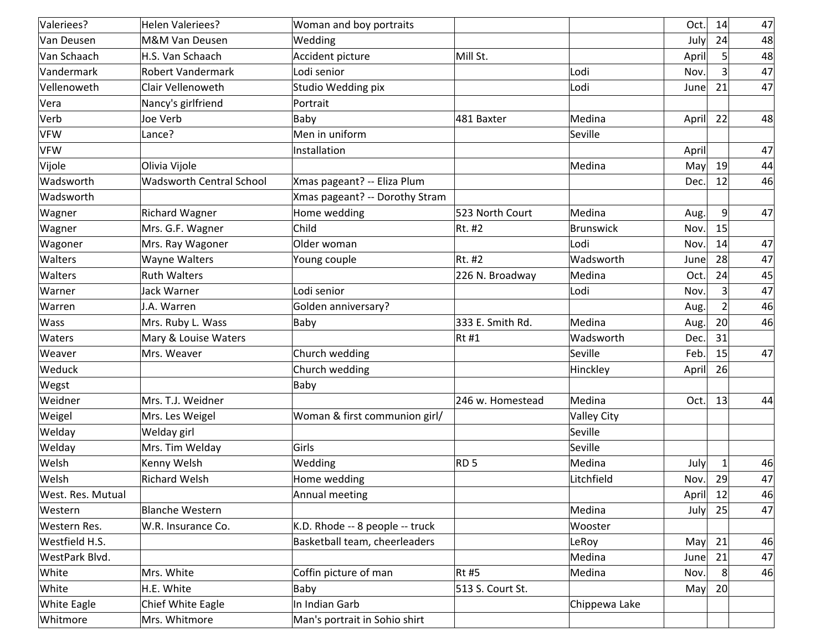| Valeriees?         | Helen Valeriees?                | Woman and boy portraits         |                  |                    | Oct.  | 14             | 47 |
|--------------------|---------------------------------|---------------------------------|------------------|--------------------|-------|----------------|----|
| Van Deusen         | M&M Van Deusen                  | Wedding                         |                  |                    | July  | 24             | 48 |
| Van Schaach        | H.S. Van Schaach                | Accident picture                | Mill St.         |                    | April | 5              | 48 |
| Vandermark         | <b>Robert Vandermark</b>        | Lodi senior                     |                  | Lodi               | Nov.  | $\overline{3}$ | 47 |
| Vellenoweth        | Clair Vellenoweth               | Studio Wedding pix              |                  | Lodi               | June  | 21             | 47 |
| Vera               | Nancy's girlfriend              | Portrait                        |                  |                    |       |                |    |
| Verb               | Joe Verb                        | Baby                            | 481 Baxter       | Medina             | April | 22             | 48 |
| VFW                | Lance?                          | Men in uniform                  |                  | Seville            |       |                |    |
| <b>VFW</b>         |                                 | Installation                    |                  |                    | April |                | 47 |
| Vijole             | Olivia Vijole                   |                                 |                  | Medina             | May   | 19             | 44 |
| Wadsworth          | <b>Wadsworth Central School</b> | Xmas pageant? -- Eliza Plum     |                  |                    | Dec.  | 12             | 46 |
| Wadsworth          |                                 | Xmas pageant? -- Dorothy Stram  |                  |                    |       |                |    |
| Wagner             | <b>Richard Wagner</b>           | Home wedding                    | 523 North Court  | Medina             | Aug.  | 9              | 47 |
| Wagner             | Mrs. G.F. Wagner                | Child                           | Rt. #2           | <b>Brunswick</b>   | Nov.  | 15             |    |
| Wagoner            | Mrs. Ray Wagoner                | Older woman                     |                  | Lodi               | Nov.  | 14             | 47 |
| Walters            | Wayne Walters                   | Young couple                    | Rt. #2           | Wadsworth          | June  | 28             | 47 |
| Walters            | <b>Ruth Walters</b>             |                                 | 226 N. Broadway  | Medina             | Oct.  | 24             | 45 |
| Warner             | Jack Warner                     | Lodi senior                     |                  | Lodi               | Nov.  | 3              | 47 |
| Warren             | J.A. Warren                     | Golden anniversary?             |                  |                    | Aug.  |                | 46 |
| Wass               | Mrs. Ruby L. Wass               | Baby                            | 333 E. Smith Rd. | Medina             | Aug.  | 20             | 46 |
| Waters             | Mary & Louise Waters            |                                 | $Rt$ #1          | Wadsworth          | Dec.  | 31             |    |
| Weaver             | Mrs. Weaver                     | Church wedding                  |                  | Seville            | Feb.  | 15             | 47 |
| Weduck             |                                 | Church wedding                  |                  | Hinckley           | April | 26             |    |
| Wegst              |                                 | Baby                            |                  |                    |       |                |    |
| Weidner            | Mrs. T.J. Weidner               |                                 | 246 w. Homestead | Medina             | Oct.  | 13             | 44 |
| Weigel             | Mrs. Les Weigel                 | Woman & first communion girl/   |                  | <b>Valley City</b> |       |                |    |
| Welday             | Welday girl                     |                                 |                  | Seville            |       |                |    |
| Welday             | Mrs. Tim Welday                 | Girls                           |                  | Seville            |       |                |    |
| Welsh              | Kenny Welsh                     | Wedding                         | RD <sub>5</sub>  | Medina             | July  | 1              | 46 |
| Welsh              | <b>Richard Welsh</b>            | Home wedding                    |                  | Litchfield         | Nov.  | 29             | 47 |
| West. Res. Mutual  |                                 | Annual meeting                  |                  |                    | April | 12             | 46 |
| Western            | <b>Blanche Western</b>          |                                 |                  | Medina             | July  | 25             | 47 |
| Western Res.       | W.R. Insurance Co.              | K.D. Rhode -- 8 people -- truck |                  | Wooster            |       |                |    |
| Westfield H.S.     |                                 | Basketball team, cheerleaders   |                  | LeRoy              | May   | 21             | 46 |
| WestPark Blvd.     |                                 |                                 |                  | Medina             | June  | 21             | 47 |
| White              | Mrs. White                      | Coffin picture of man           | $Rt$ #5          | Medina             | Nov.  | 8              | 46 |
| White              | H.E. White                      | Baby                            | 513 S. Court St. |                    | May   | 20             |    |
| <b>White Eagle</b> | Chief White Eagle               | In Indian Garb                  |                  | Chippewa Lake      |       |                |    |
| Whitmore           | Mrs. Whitmore                   | Man's portrait in Sohio shirt   |                  |                    |       |                |    |